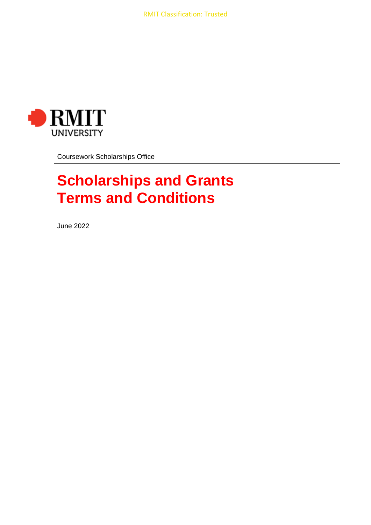

Coursework Scholarships Office

# **Scholarships and Grants Terms and Conditions**

June 2022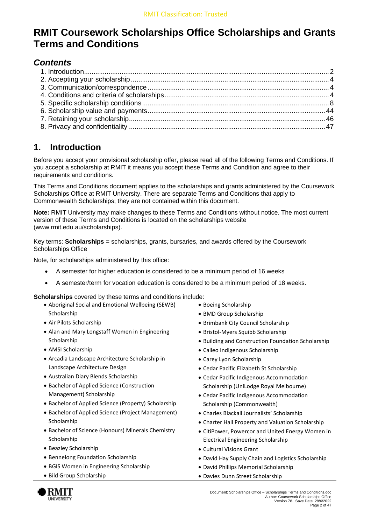# **RMIT Coursework Scholarships Office Scholarships and Grants Terms and Conditions**

# *Contents*

# <span id="page-1-0"></span>**1. Introduction**

Before you accept your provisional scholarship offer, please read all of the following Terms and Conditions. If you accept a scholarship at RMIT it means you accept these Terms and Condition and agree to their requirements and conditions.

This Terms and Conditions document applies to the scholarships and grants administered by the Coursework Scholarships Office at RMIT University. There are separate Terms and Conditions that apply to Commonwealth Scholarships; they are not contained within this document.

**Note:** RMIT University may make changes to these Terms and Conditions without notice. The most current version of these Terms and Conditions is located on the scholarships website [\(www.rmit.edu.au/scholarships\)](http://www.rmit.edu.au/scholarships).

Key terms: **Scholarships** = scholarships, grants, bursaries, and awards offered by the Coursework Scholarships Office

Note, for scholarships administered by this office:

- A semester for higher education is considered to be a minimum period of 16 weeks
- A semester/term for vocation education is considered to be a minimum period of 18 weeks.

**Scholarships** covered by these terms and conditions include:

- Aboriginal Social and Emotional Wellbeing (SEWB) Scholarship
- Air Pilots Scholarship
- Alan and Mary Longstaff Women in Engineering **Scholarship**
- AMSI Scholarship
- Arcadia Landscape Architecture Scholarship in Landscape Architecture Design
- Australian Diary Blends Scholarship
- Bachelor of Applied Science (Construction Management) Scholarship
- Bachelor of Applied Science (Property) Scholarship
- Bachelor of Applied Science (Project Management) Scholarship
- Bachelor of Science (Honours) Minerals Chemistry Scholarship
- Beazley Scholarship
- Bennelong Foundation Scholarship
- BGIS Women in Engineering Scholarship
- Bild Group Scholarship
- Boeing Scholarship
- BMD Group Scholarship
- Brimbank City Council Scholarship
- Bristol-Myers Squibb Scholarship
- Building and Construction Foundation Scholarship
- Calleo Indigenous Scholarship
- Carey Lyon Scholarship
- Cedar Pacific Elizabeth St Scholarship
- Cedar Pacific Indigenous Accommodation Scholarship (UniLodge Royal Melbourne)
- Cedar Pacific Indigenous Accommodation Scholarship (Commonwealth)
- Charles Blackall Journalists' Scholarship
- Charter Hall Property and Valuation Scholarship
- CitiPower, Powercor and United Energy Women in Electrical Engineering Scholarship
- Cultural Visions Grant
- David Hay Supply Chain and Logistics Scholarship
- David Phillips Memorial Scholarship
- Davies Dunn Street Scholarship

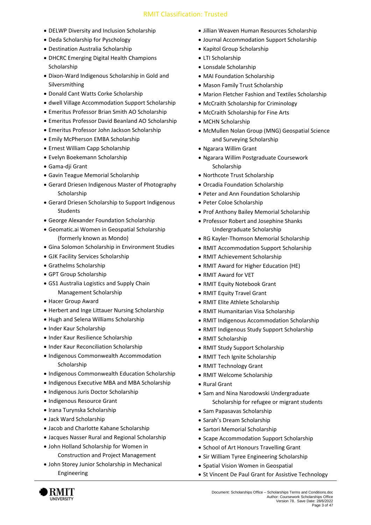- DELWP Diversity and Inclusion Scholarship
- Deda Scholarship for Pyschology
- Destination Australia Scholarship
- DHCRC Emerging Digital Health Champions Scholarship
- Dixon-Ward Indigenous Scholarship in Gold and Silversmithing
- Donald Cant Watts Corke Scholarship
- dwell Village Accommodation Support Scholarship
- Emeritus Professor Brian Smith AO Scholarship
- Emeritus Professor David Beanland AO Scholarship
- Emeritus Professor John Jackson Scholarship
- Emily McPherson EMBA Scholarship
- Ernest William Capp Scholarship
- Evelyn Boekemann Scholarship
- Gama-dji Grant
- Gavin Teague Memorial Scholarship
- Gerard Driesen Indigenous Master of Photography Scholarship
- Gerard Driesen Scholarship to Support Indigenous **Students**
- George Alexander Foundation Scholarship
- Geomatic.ai Women in Geospatial Scholarship (formerly known as Mondo)
- Gina Solomon Scholarship in Environment Studies
- GJK Facility Services Scholarship
- Grathelms Scholarship
- GPT Group Scholarship
- GS1 Australia Logistics and Supply Chain Management Scholarship
- Hacer Group Award
- Herbert and Inge Littauer Nursing Scholarship
- Hugh and Selena Williams Scholarship
- Inder Kaur Scholarship
- Inder Kaur Resilience Scholarship
- Inder Kaur Reconciliation Scholarship
- Indigenous Commonwealth Accommodation **Scholarship**
- Indigenous Commonwealth Education Scholarship
- Indigenous Executive MBA and MBA Scholarship
- Indigenous Juris Doctor Scholarship
- Indigenous Resource Grant
- Irana Turynska Scholarship
- Jack Ward Scholarship
- Jacob and Charlotte Kahane Scholarship
- Jacques Nasser Rural and Regional Scholarship
- John Holland Scholarship for Women in Construction and Project Management
- John Storey Junior Scholarship in Mechanical Engineering
- Jillian Weaven Human Resources Scholarship
- Journal Accommodation Support Scholarship
- Kapitol Group Scholarship
- LTI Scholarship
- Lonsdale Scholarship
- MAI Foundation Scholarship
- Mason Family Trust Scholarship
- Marion Fletcher Fashion and Textiles Scholarship
- McCraith Scholarship for Criminology
- McCraith Scholarship for Fine Arts
- MCHN Scholarship
- McMullen Nolan Group (MNG) Geospatial Science and Surveying Scholarship
- Ngarara Willim Grant
- Ngarara Willim Postgraduate Coursework Scholarship
- Northcote Trust Scholarship
- Orcadia Foundation Scholarship
- Peter and Ann Foundation Scholarship
- Peter Coloe Scholarship
- Prof Anthony Bailey Memorial Scholarship
- Professor Robert and Josephine Shanks Undergraduate Scholarship
- RG Kayler-Thomson Memorial Scholarship
- RMIT Accommodation Support Scholarship
- RMIT Achievement Scholarship
- RMIT Award for Higher Education (HE)
- RMIT Award for VET
- RMIT Equity Notebook Grant
- RMIT Equity Travel Grant
- RMIT Elite Athlete Scholarship
- RMIT Humanitarian Visa Scholarship
- RMIT Indigenous Accommodation Scholarship
- RMIT Indigenous Study Support Scholarship
- RMIT Scholarship
- RMIT Study Support Scholarship
- RMIT Tech Ignite Scholarship
- RMIT Technology Grant
- RMIT Welcome Scholarship
- Rural Grant
- Sam and Nina Narodowski Undergraduate Scholarship for refugee or migrant students
- Sam Papasavas Scholarship
- Sarah's Dream Scholarship
- Sartori Memorial Scholarship
- Scape Accommodation Support Scholarship
- School of Art Honours Travelling Grant
- Sir William Tyree Engineering Scholarship
- Spatial Vision Women in Geospatial
- St Vincent De Paul Grant for Assistive Technology

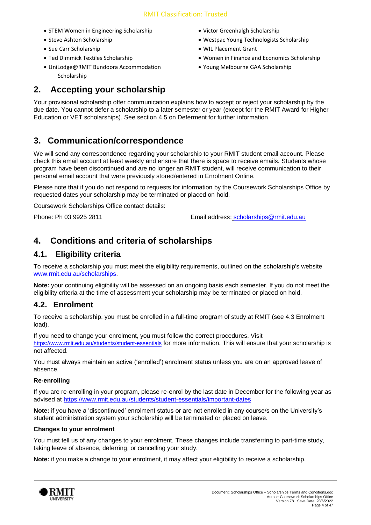- STEM Women in Engineering Scholarship
- Steve Ashton Scholarship
- Sue Carr Scholarship
- Ted Dimmick Textiles Scholarship
- UniLodge@RMIT Bundoora Accommodation Scholarship
- Victor Greenhalgh Scholarship
- Westpac Young Technologists Scholarship
- WIL Placement Grant
- Women in Finance and Economics Scholarship
- Young Melbourne GAA Scholarship

# <span id="page-3-0"></span>**2. Accepting your scholarship**

Your provisional scholarship offer communication explains how to accept or reject your scholarship by the due date. You cannot defer a scholarship to a later semester or year (except for the RMIT Award for Higher Education or VET scholarships). See section 4.5 on Deferment for further information.

# <span id="page-3-1"></span>**3. Communication/correspondence**

We will send any correspondence regarding your scholarship to your RMIT student email account. Please check this email account at least weekly and ensure that there is space to receive emails. Students whose program have been discontinued and are no longer an RMIT student, will receive communication to their personal email account that were previously stored/entered in Enrolment Online.

Please note that if you do not respond to requests for information by the Coursework Scholarships Office by requested dates your scholarship may be terminated or placed on hold.

Coursework Scholarships Office contact details:

Phone: Ph 03 9925 2811 Email address: [scholarships@rmit.edu.au](mailto:scholarships@rmit.edu.au)

# <span id="page-3-2"></span>**4. Conditions and criteria of scholarships**

#### **4.1. Eligibility criteria**

To receive a scholarship you must meet the eligibility requirements, outlined on the scholarship's website [www.rmit.edu.au/scholarships.](http://www.rmit.edu.au/scholarships)

**Note:** your continuing eligibility will be assessed on an ongoing basis each semester. If you do not meet the eligibility criteria at the time of assessment your scholarship may be terminated or placed on hold.

#### **4.2. Enrolment**

To receive a scholarship, you must be enrolled in a full-time program of study at RMIT (see 4.3 Enrolment load).

If you need to change your enrolment, you must follow the correct procedures. Visit <https://www.rmit.edu.au/students/student-essentials> for more information. This will ensure that your scholarship is not affected.

You must always maintain an active ('enrolled') enrolment status unless you are on an approved leave of absence.

#### **Re-enrolling**

If you are re-enrolling in your program, please re-enrol by the last date in December for the following year as advised at <https://www.rmit.edu.au/students/student-essentials/important-dates>

**Note:** if you have a 'discontinued' enrolment status or are not enrolled in any course/s on the University's student administration system your scholarship will be terminated or placed on leave.

#### **Changes to your enrolment**

You must tell us of any changes to your enrolment. These changes include transferring to part-time study, taking leave of absence, deferring, or cancelling your study.

**Note:** if you make a change to your enrolment, it may affect your eligibility to receive a scholarship.

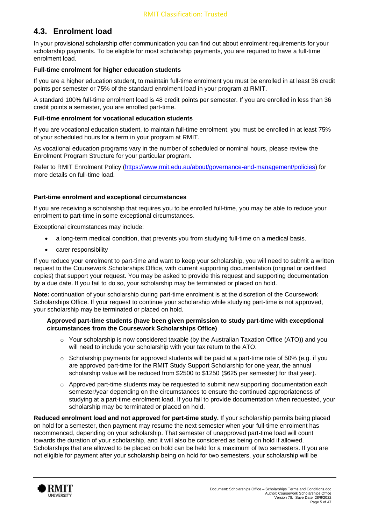#### **4.3. Enrolment load**

In your provisional scholarship offer communication you can find out about enrolment requirements for your scholarship payments. To be eligible for most scholarship payments, you are required to have a full-time enrolment load.

#### **Full-time enrolment for higher education students**

If you are a higher education student, to maintain full-time enrolment you must be enrolled in at least 36 credit points per semester or 75% of the standard enrolment load in your program at RMIT.

A standard 100% full-time enrolment load is 48 credit points per semester. If you are enrolled in less than 36 credit points a semester, you are enrolled part-time.

#### **Full-time enrolment for vocational education students**

If you are vocational education student, to maintain full-time enrolment, you must be enrolled in at least 75% of your scheduled hours for a term in your program at RMIT.

As vocational education programs vary in the number of scheduled or nominal hours, please review the Enrolment Program Structure for your particular program.

Refer to RMIT Enrolment Policy [\(https://www.rmit.edu.au/about/governance-and-management/policies\)](https://www.rmit.edu.au/about/governance-and-management/policies) for more details on full-time load.

#### **Part-time enrolment and exceptional circumstances**

If you are receiving a scholarship that requires you to be enrolled full-time, you may be able to reduce your enrolment to part-time in some exceptional circumstances.

Exceptional circumstances may include:

- a long-term medical condition, that prevents you from studying full-time on a medical basis.
- carer responsibility

If you reduce your enrolment to part-time and want to keep your scholarship, you will need to submit a written request to the Coursework Scholarships Office, with current supporting documentation (original or certified copies) that support your request. You may be asked to provide this request and supporting documentation by a due date. If you fail to do so, your scholarship may be terminated or placed on hold.

**Note:** continuation of your scholarship during part-time enrolment is at the discretion of the Coursework Scholarships Office. If your request to continue your scholarship while studying part-time is not approved, your scholarship may be terminated or placed on hold.

#### **Approved part-time students (have been given permission to study part-time with exceptional circumstances from the Coursework Scholarships Office)**

- $\circ$  Your scholarship is now considered taxable (by the Australian Taxation Office (ATO)) and you will need to include your scholarship with your tax return to the ATO.
- $\circ$  Scholarship payments for approved students will be paid at a part-time rate of 50% (e.g. if you are approved part-time for the RMIT Study Support Scholarship for one year, the annual scholarship value will be reduced from \$2500 to \$1250 (\$625 per semester) for that year).
- $\circ$  Approved part-time students may be requested to submit new supporting documentation each semester/year depending on the circumstances to ensure the continued appropriateness of studying at a part-time enrolment load. If you fail to provide documentation when requested, your scholarship may be terminated or placed on hold.

**Reduced enrolment load and not approved for part-time study.** If your scholarship permits being placed on hold for a semester, then payment may resume the next semester when your full-time enrolment has recommenced, depending on your scholarship. That semester of unapproved part-time load will count towards the duration of your scholarship, and it will also be considered as being on hold if allowed. Scholarships that are allowed to be placed on hold can be held for a maximum of two semesters. If you are not eligible for payment after your scholarship being on hold for two semesters, your scholarship will be

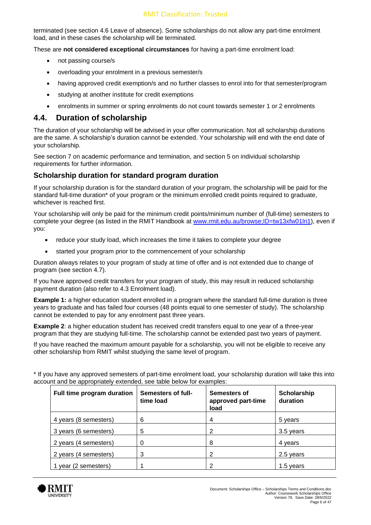terminated (see section 4.6 Leave of absence). Some scholarships do not allow any part-time enrolment load, and in these cases the scholarship will be terminated.

These are **not considered exceptional circumstances** for having a part-time enrolment load:

- not passing course/s
- overloading your enrolment in a previous semester/s
- having approved credit exemption/s and no further classes to enrol into for that semester/program
- studying at another institute for credit exemptions
- enrolments in summer or spring enrolments do not count towards semester 1 or 2 enrolments

#### **4.4. Duration of scholarship**

The duration of your scholarship will be advised in your offer communication. Not all scholarship durations are the same. A scholarship's duration cannot be extended. Your scholarship will end with the end date of your scholarship.

See section 7 on academic performance and termination, and section 5 on individual scholarship requirements for further information.

#### **Scholarship duration for standard program duration**

If your scholarship duration is for the standard duration of your program, the scholarship will be paid for the standard full-time duration<sup>\*</sup> of your program or the minimum enrolled credit points required to graduate, whichever is reached first.

Your scholarship will only be paid for the minimum credit points/minimum number of (full-time) semesters to complete your degree (as listed in the RMIT Handbook at [www.rmit.edu.au/browse;ID=tw13xfw01lri1\)](http://www.rmit.edu.au/browse;ID=tw13xfw01lri1), even if you:

- reduce your study load, which increases the time it takes to complete your degree
- started your program prior to the commencement of your scholarship

Duration always relates to your program of study at time of offer and is not extended due to change of program (see section 4.7).

If you have approved credit transfers for your program of study, this may result in reduced scholarship payment duration (also refer to 4.3 Enrolment load).

**Example 1:** a higher education student enrolled in a program where the standard full-time duration is three years to graduate and has failed four courses (48 points equal to one semester of study). The scholarship cannot be extended to pay for any enrolment past three years.

**Example 2:** a higher education student has received credit transfers equal to one year of a three-year program that they are studying full-time. The scholarship cannot be extended past two years of payment.

If you have reached the maximum amount payable for a scholarship, you will not be eligible to receive any other scholarship from RMIT whilst studying the same level of program.

\* If you have any approved semesters of part-time enrolment load, your scholarship duration will take this into account and be appropriately extended, see table below for examples:

| Full time program duration | Semesters of full-<br>time load | <b>Semesters of</b><br>approved part-time<br>load | Scholarship<br>duration |
|----------------------------|---------------------------------|---------------------------------------------------|-------------------------|
| 4 years (8 semesters)      | 6                               | 4                                                 | 5 years                 |
| 3 years (6 semesters)      | 5                               | 2                                                 | 3.5 years               |
| 2 years (4 semesters)      |                                 | 8                                                 | 4 years                 |
| 2 years (4 semesters)      | 3                               | 2                                                 | 2.5 years               |
| 1 year (2 semesters)       |                                 | 2                                                 | 1.5 years               |

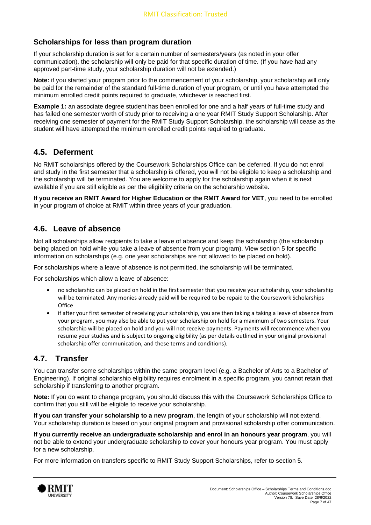#### **Scholarships for less than program duration**

If your scholarship duration is set for a certain number of semesters/years (as noted in your offer communication), the scholarship will only be paid for that specific duration of time. (If you have had any approved part-time study, your scholarship duration will not be extended.)

**Note:** if you started your program prior to the commencement of your scholarship, your scholarship will only be paid for the remainder of the standard full-time duration of your program, or until you have attempted the minimum enrolled credit points required to graduate, whichever is reached first.

**Example 1:** an associate degree student has been enrolled for one and a half years of full-time study and has failed one semester worth of study prior to receiving a one year RMIT Study Support Scholarship. After receiving one semester of payment for the RMIT Study Support Scholarship, the scholarship will cease as the student will have attempted the minimum enrolled credit points required to graduate.

#### **4.5. Deferment**

No RMIT scholarships offered by the Coursework Scholarships Office can be deferred. If you do not enrol and study in the first semester that a scholarship is offered, you will not be eligible to keep a scholarship and the scholarship will be terminated. You are welcome to apply for the scholarship again when it is next available if you are still eligible as per the eligibility criteria on the scholarship website.

**If you receive an RMIT Award for Higher Education or the RMIT Award for VET**, you need to be enrolled in your program of choice at RMIT within three years of your graduation.

#### **4.6. Leave of absence**

Not all scholarships allow recipients to take a leave of absence and keep the scholarship (the scholarship being placed on hold while you take a leave of absence from your program). View section 5 for specific information on scholarships (e.g. one year scholarships are not allowed to be placed on hold).

For scholarships where a leave of absence is not permitted, the scholarship will be terminated.

For scholarships which allow a leave of absence:

- no scholarship can be placed on hold in the first semester that you receive your scholarship, your scholarship will be terminated. Any monies already paid will be required to be repaid to the Coursework Scholarships **Office**
- if after your first semester of receiving your scholarship, you are then taking a taking a leave of absence from your program, you may also be able to put your scholarship on hold for a maximum of two semesters. Your scholarship will be placed on hold and you will not receive payments. Payments will recommence when you resume your studies and is subject to ongoing eligibility (as per details outlined in your original provisional scholarship offer communication, and these terms and conditions).

#### **4.7. Transfer**

You can transfer some scholarships within the same program level (e.g. a Bachelor of Arts to a Bachelor of Engineering). If original scholarship eligibility requires enrolment in a specific program, you cannot retain that scholarship if transferring to another program.

**Note:** If you do want to change program, you should discuss this with the Coursework Scholarships Office to confirm that you still will be eligible to receive your scholarship.

**If you can transfer your scholarship to a new program**, the length of your scholarship will not extend. Your scholarship duration is based on your original program and provisional scholarship offer communication.

**If you currently receive an undergraduate scholarship and enrol in an honours year program**, you will not be able to extend your undergraduate scholarship to cover your honours year program. You must apply for a new scholarship.

For more information on transfers specific to RMIT Study Support Scholarships, refer to section 5.

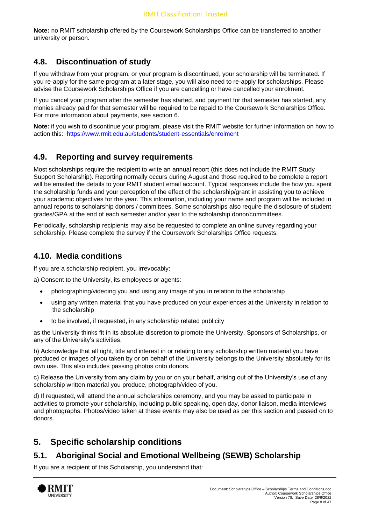**Note:** no RMIT scholarship offered by the Coursework Scholarships Office can be transferred to another university or person.

#### **4.8. Discontinuation of study**

If you withdraw from your program, or your program is discontinued, your scholarship will be terminated. If you re-apply for the same program at a later stage, you will also need to re-apply for scholarships. Please advise the Coursework Scholarships Office if you are cancelling or have cancelled your enrolment.

If you cancel your program after the semester has started, and payment for that semester has started, any monies already paid for that semester will be required to be repaid to the Coursework Scholarships Office. For more information about payments, see section 6.

**Note:** if you wish to discontinue your program, please visit the RMIT website for further information on how to action this: <https://www.rmit.edu.au/students/student-essentials/enrolment>

#### **4.9. Reporting and survey requirements**

Most scholarships require the recipient to write an annual report (this does not include the RMIT Study Support Scholarship). Reporting normally occurs during August and those required to be complete a report will be emailed the details to your RMIT student email account. Typical responses include the how you spent the scholarship funds and your perception of the effect of the scholarship/grant in assisting you to achieve your academic objectives for the year. This information, including your name and program will be included in annual reports to scholarship donors / committees. Some scholarships also require the disclosure of student grades/GPA at the end of each semester and/or year to the scholarship donor/committees.

Periodically, scholarship recipients may also be requested to complete an online survey regarding your scholarship. Please complete the survey if the Coursework Scholarships Office requests.

#### **4.10. Media conditions**

If you are a scholarship recipient, you irrevocably:

a) Consent to the University, its employees or agents:

- photographing/videoing you and using any image of you in relation to the scholarship
- using any written material that you have produced on your experiences at the University in relation to the scholarship
- to be involved, if requested, in any scholarship related publicity

as the University thinks fit in its absolute discretion to promote the University, Sponsors of Scholarships, or any of the University's activities.

b) Acknowledge that all right, title and interest in or relating to any scholarship written material you have produced or images of you taken by or on behalf of the University belongs to the University absolutely for its own use. This also includes passing photos onto donors.

c) Release the University from any claim by you or on your behalf, arising out of the University's use of any scholarship written material you produce, photograph/video of you.

d) If requested, will attend the annual scholarships ceremony, and you may be asked to participate in activities to promote your scholarship, including public speaking, open day, donor liaison, media interviews and photographs. Photos/video taken at these events may also be used as per this section and passed on to donors.

## <span id="page-7-0"></span>**5. Specific scholarship conditions**

# **5.1. Aboriginal Social and Emotional Wellbeing (SEWB) Scholarship**

If you are a recipient of this Scholarship, you understand that:

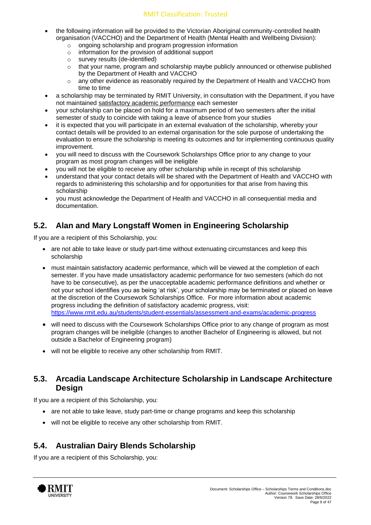#### RMIT Classification: Trusted

- the following information will be provided to the Victorian Aboriginal community-controlled health organisation (VACCHO) and the Department of Health (Mental Health and Wellbeing Division):
	- o ongoing scholarship and program progression information
	- o information for the provision of additional support
	- o survey results (de-identified)
	- o that your name, program and scholarship maybe publicly announced or otherwise published by the Department of Health and VACCHO
	- o any other evidence as reasonably required by the Department of Health and VACCHO from time to time
- a scholarship may be terminated by RMIT University, in consultation with the Department, if you have not maintained [satisfactory academic performance](https://www.rmit.edu.au/students/student-essentials/assessment-and-results/academic-progress) each semester
- your scholarship can be placed on hold for a maximum period of two semesters after the initial semester of study to coincide with taking a leave of absence from your studies
- it is expected that you will participate in an external evaluation of the scholarship, whereby your contact details will be provided to an external organisation for the sole purpose of undertaking the evaluation to ensure the scholarship is meeting its outcomes and for implementing continuous quality improvement.
- you will need to discuss with the Coursework Scholarships Office prior to any change to your program as most program changes will be ineligible
- you will not be eligible to receive any other scholarship while in receipt of this scholarship
- understand that your contact details will be shared with the Department of Health and VACCHO with regards to administering this scholarship and for opportunities for that arise from having this scholarship
- you must acknowledge the Department of Health and VACCHO in all consequential media and documentation.

# **5.2. Alan and Mary Longstaff Women in Engineering Scholarship**

If you are a recipient of this Scholarship, you:

- are not able to take leave or study part-time without extenuating circumstances and keep this scholarship
- must maintain satisfactory academic performance, which will be viewed at the completion of each semester. If you have made unsatisfactory academic performance for two semesters (which do not have to be consecutive), as per the unacceptable academic performance definitions and whether or not your school identifies you as being 'at risk', your scholarship may be terminated or placed on leave at the discretion of the Coursework Scholarships Office. For more information about academic progress including the definition of satisfactory academic progress, visit: <https://www.rmit.edu.au/students/student-essentials/assessment-and-exams/academic-progress>
- will need to discuss with the Coursework Scholarships Office prior to any change of program as most program changes will be ineligible (changes to another Bachelor of Engineering is allowed, but not outside a Bachelor of Engineering program)
- will not be eligible to receive any other scholarship from RMIT.

#### **5.3. Arcadia Landscape Architecture Scholarship in Landscape Architecture Design**

If you are a recipient of this Scholarship, you:

- are not able to take leave, study part-time or change programs and keep this scholarship
- will not be eligible to receive any other scholarship from RMIT.

## **5.4. Australian Dairy Blends Scholarship**

If you are a recipient of this Scholarship, you:

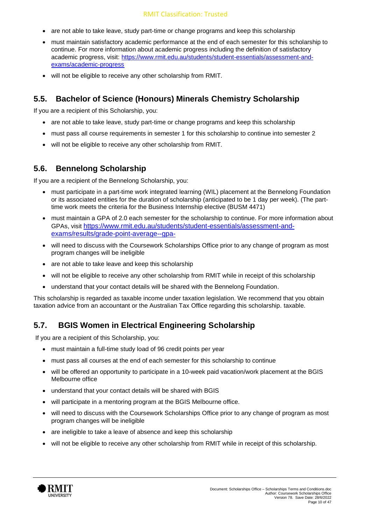#### RMIT Classification: Trusted

- are not able to take leave, study part-time or change programs and keep this scholarship
- must maintain satisfactory academic performance at the end of each semester for this scholarship to continue. For more information about academic progress including the definition of satisfactory academic progress, visit: [https://www.rmit.edu.au/students/student-essentials/assessment-and](https://www.rmit.edu.au/students/student-essentials/assessment-and-exams/academic-progress)[exams/academic-progress](https://www.rmit.edu.au/students/student-essentials/assessment-and-exams/academic-progress)
- will not be eligible to receive any other scholarship from RMIT.

#### **5.5. Bachelor of Science (Honours) Minerals Chemistry Scholarship**

If you are a recipient of this Scholarship, you:

- are not able to take leave, study part-time or change programs and keep this scholarship
- must pass all course requirements in semester 1 for this scholarship to continue into semester 2
- will not be eligible to receive any other scholarship from RMIT.

#### **5.6. Bennelong Scholarship**

If you are a recipient of the Bennelong Scholarship, you:

- must participate in a part-time work integrated learning (WIL) placement at the Bennelong Foundation or its associated entities for the duration of scholarship (anticipated to be 1 day per week). (The parttime work meets the criteria for the Business Internship elective (BUSM 4471)
- must maintain a GPA of 2.0 each semester for the scholarship to continue. For more information about GPAs, visit [https://www.rmit.edu.au/students/student-essentials/assessment-and](https://www.rmit.edu.au/students/student-essentials/assessment-and-exams/results/grade-point-average--gpa-)[exams/results/grade-point-average--gpa-](https://www.rmit.edu.au/students/student-essentials/assessment-and-exams/results/grade-point-average--gpa-)
- will need to discuss with the Coursework Scholarships Office prior to any change of program as most program changes will be ineligible
- are not able to take leave and keep this scholarship
- will not be eligible to receive any other scholarship from RMIT while in receipt of this scholarship
- understand that your contact details will be shared with the Bennelong Foundation.

This scholarship is regarded as taxable income under taxation legislation. We recommend that you obtain taxation advice from an accountant or the Australian Tax Office regarding this scholarship. taxable.

#### **5.7. BGIS Women in Electrical Engineering Scholarship**

If you are a recipient of this Scholarship, you:

- must maintain a full-time study load of 96 credit points per year
- must pass all courses at the end of each semester for this scholarship to continue
- will be offered an opportunity to participate in a 10-week paid vacation/work placement at the BGIS Melbourne office
- understand that your contact details will be shared with BGIS
- will participate in a mentoring program at the BGIS Melbourne office.
- will need to discuss with the Coursework Scholarships Office prior to any change of program as most program changes will be ineligible
- are ineligible to take a leave of absence and keep this scholarship
- will not be eligible to receive any other scholarship from RMIT while in receipt of this scholarship.

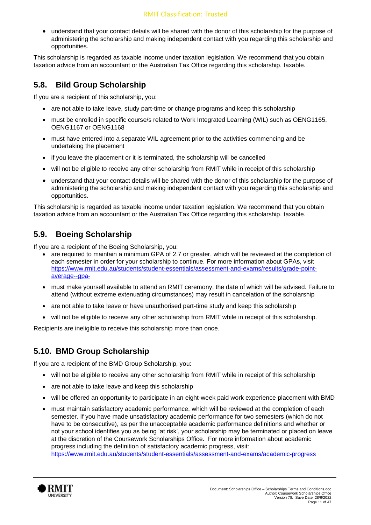• understand that your contact details will be shared with the donor of this scholarship for the purpose of administering the scholarship and making independent contact with you regarding this scholarship and opportunities.

This scholarship is regarded as taxable income under taxation legislation. We recommend that you obtain taxation advice from an accountant or the Australian Tax Office regarding this scholarship. taxable.

## **5.8. Bild Group Scholarship**

If you are a recipient of this scholarship, you:

- are not able to take leave, study part-time or change programs and keep this scholarship
- must be enrolled in specific course/s related to Work Integrated Learning (WIL) such as OENG1165, OENG1167 or OENG1168
- must have entered into a separate WIL agreement prior to the activities commencing and be undertaking the placement
- if you leave the placement or it is terminated, the scholarship will be cancelled
- will not be eligible to receive any other scholarship from RMIT while in receipt of this scholarship
- understand that your contact details will be shared with the donor of this scholarship for the purpose of administering the scholarship and making independent contact with you regarding this scholarship and opportunities.

This scholarship is regarded as taxable income under taxation legislation. We recommend that you obtain taxation advice from an accountant or the Australian Tax Office regarding this scholarship. taxable.

# **5.9. Boeing Scholarship**

If you are a recipient of the Boeing Scholarship, you:

- are required to maintain a minimum GPA of 2.7 or greater, which will be reviewed at the completion of each semester in order for your scholarship to continue. For more information about GPAs, visit [https://www.rmit.edu.au/students/student-essentials/assessment-and-exams/results/grade-point](https://www.rmit.edu.au/students/student-essentials/assessment-and-exams/results/grade-point-average--gpa-)[average--gpa-](https://www.rmit.edu.au/students/student-essentials/assessment-and-exams/results/grade-point-average--gpa-)
- must make yourself available to attend an RMIT ceremony, the date of which will be advised. Failure to attend (without extreme extenuating circumstances) may result in cancelation of the scholarship
- are not able to take leave or have unauthorised part-time study and keep this scholarship
- will not be eligible to receive any other scholarship from RMIT while in receipt of this scholarship.

Recipients are ineligible to receive this scholarship more than once.

## **5.10. BMD Group Scholarship**

If you are a recipient of the BMD Group Scholarship, you:

- will not be eligible to receive any other scholarship from RMIT while in receipt of this scholarship
- are not able to take leave and keep this scholarship
- will be offered an opportunity to participate in an eight-week paid work experience placement with BMD
- must maintain satisfactory academic performance, which will be reviewed at the completion of each semester. If you have made unsatisfactory academic performance for two semesters (which do not have to be consecutive), as per the unacceptable academic performance definitions and whether or not your school identifies you as being 'at risk', your scholarship may be terminated or placed on leave at the discretion of the Coursework Scholarships Office. For more information about academic progress including the definition of satisfactory academic progress, visit: <https://www.rmit.edu.au/students/student-essentials/assessment-and-exams/academic-progress>

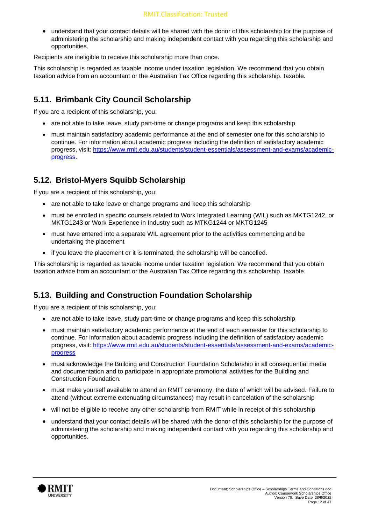• understand that your contact details will be shared with the donor of this scholarship for the purpose of administering the scholarship and making independent contact with you regarding this scholarship and opportunities.

Recipients are ineligible to receive this scholarship more than once.

This scholarship is regarded as taxable income under taxation legislation. We recommend that you obtain taxation advice from an accountant or the Australian Tax Office regarding this scholarship. taxable.

#### **5.11. Brimbank City Council Scholarship**

If you are a recipient of this scholarship, you:

- are not able to take leave, study part-time or change programs and keep this scholarship
- must maintain satisfactory academic performance at the end of semester one for this scholarship to continue. For information about academic progress including the definition of satisfactory academic progress, visit: [https://www.rmit.edu.au/students/student-essentials/assessment-and-exams/academic](https://www.rmit.edu.au/students/student-essentials/assessment-and-exams/academic-progress)[progress.](https://www.rmit.edu.au/students/student-essentials/assessment-and-exams/academic-progress)

#### **5.12. Bristol-Myers Squibb Scholarship**

If you are a recipient of this scholarship, you:

- are not able to take leave or change programs and keep this scholarship
- must be enrolled in specific course/s related to Work Integrated Learning (WIL) such as MKTG1242, or MKTG1243 or Work Experience in Industry such as MTKG1244 or MKTG1245
- must have entered into a separate WIL agreement prior to the activities commencing and be undertaking the placement
- if you leave the placement or it is terminated, the scholarship will be cancelled.

This scholarship is regarded as taxable income under taxation legislation. We recommend that you obtain taxation advice from an accountant or the Australian Tax Office regarding this scholarship. taxable.

#### **5.13. Building and Construction Foundation Scholarship**

If you are a recipient of this scholarship, you:

- are not able to take leave, study part-time or change programs and keep this scholarship
- must maintain satisfactory academic performance at the end of each semester for this scholarship to continue. For information about academic progress including the definition of satisfactory academic progress, visit: [https://www.rmit.edu.au/students/student-essentials/assessment-and-exams/academic](https://www.rmit.edu.au/students/student-essentials/assessment-and-exams/academic-progress)[progress](https://www.rmit.edu.au/students/student-essentials/assessment-and-exams/academic-progress)
- must acknowledge the Building and Construction Foundation Scholarship in all consequential media and documentation and to participate in appropriate promotional activities for the Building and Construction Foundation.
- must make yourself available to attend an RMIT ceremony, the date of which will be advised. Failure to attend (without extreme extenuating circumstances) may result in cancelation of the scholarship
- will not be eligible to receive any other scholarship from RMIT while in receipt of this scholarship
- understand that your contact details will be shared with the donor of this scholarship for the purpose of administering the scholarship and making independent contact with you regarding this scholarship and opportunities.

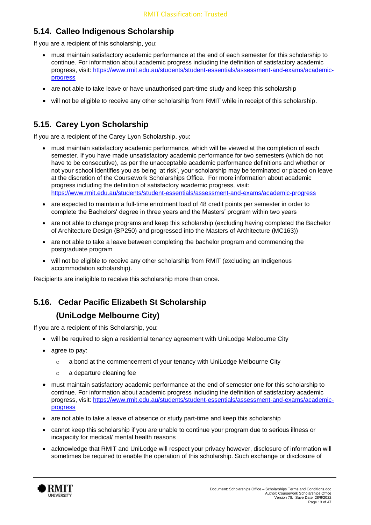# **5.14. Calleo Indigenous Scholarship**

If you are a recipient of this scholarship, you:

- must maintain satisfactory academic performance at the end of each semester for this scholarship to continue. For information about academic progress including the definition of satisfactory academic progress, visit: [https://www.rmit.edu.au/students/student-essentials/assessment-and-exams/academic](https://www.rmit.edu.au/students/student-essentials/assessment-and-exams/academic-progress)[progress](https://www.rmit.edu.au/students/student-essentials/assessment-and-exams/academic-progress)
- are not able to take leave or have unauthorised part-time study and keep this scholarship
- will not be eligible to receive any other scholarship from RMIT while in receipt of this scholarship.

# **5.15. Carey Lyon Scholarship**

If you are a recipient of the Carey Lyon Scholarship, you:

- must maintain satisfactory academic performance, which will be viewed at the completion of each semester. If you have made unsatisfactory academic performance for two semesters (which do not have to be consecutive), as per the unacceptable academic performance definitions and whether or not your school identifies you as being 'at risk', your scholarship may be terminated or placed on leave at the discretion of the Coursework Scholarships Office. For more information about academic progress including the definition of satisfactory academic progress, visit: <https://www.rmit.edu.au/students/student-essentials/assessment-and-exams/academic-progress>
- are expected to maintain a full-time enrolment load of 48 credit points per semester in order to complete the Bachelors' degree in three years and the Masters' program within two years
- are not able to change programs and keep this scholarship (excluding having completed the Bachelor of Architecture Design (BP250) and progressed into the Masters of Architecture (MC163))
- are not able to take a leave between completing the bachelor program and commencing the postgraduate program
- will not be eligible to receive any other scholarship from RMIT (excluding an Indigenous accommodation scholarship).

Recipients are ineligible to receive this scholarship more than once.

# **5.16. Cedar Pacific Elizabeth St Scholarship**

#### **(UniLodge Melbourne City)**

If you are a recipient of this Scholarship, you:

- will be required to sign a residential tenancy agreement with UniLodge Melbourne City
- agree to pay:
	- o a bond at the commencement of your tenancy with UniLodge Melbourne City
	- o a departure cleaning fee
- must maintain satisfactory academic performance at the end of semester one for this scholarship to continue. For information about academic progress including the definition of satisfactory academic progress, visit: [https://www.rmit.edu.au/students/student-essentials/assessment-and-exams/academic](https://www.rmit.edu.au/students/student-essentials/assessment-and-exams/academic-progress)[progress](https://www.rmit.edu.au/students/student-essentials/assessment-and-exams/academic-progress)
- are not able to take a leave of absence or study part-time and keep this scholarship
- cannot keep this scholarship if you are unable to continue your program due to serious illness or incapacity for medical/ mental health reasons
- acknowledge that RMIT and UniLodge will respect your privacy however, disclosure of information will sometimes be required to enable the operation of this scholarship. Such exchange or disclosure of

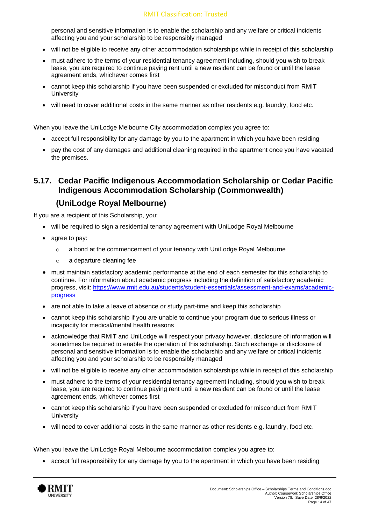personal and sensitive information is to enable the scholarship and any welfare or critical incidents affecting you and your scholarship to be responsibly managed

- will not be eligible to receive any other accommodation scholarships while in receipt of this scholarship
- must adhere to the terms of your residential tenancy agreement including, should you wish to break lease, you are required to continue paying rent until a new resident can be found or until the lease agreement ends, whichever comes first
- cannot keep this scholarship if you have been suspended or excluded for misconduct from RMIT **University**
- will need to cover additional costs in the same manner as other residents e.g. laundry, food etc.

When you leave the UniLodge Melbourne City accommodation complex you agree to:

- accept full responsibility for any damage by you to the apartment in which you have been residing
- pay the cost of any damages and additional cleaning required in the apartment once you have vacated the premises.

#### **5.17. Cedar Pacific Indigenous Accommodation Scholarship or Cedar Pacific Indigenous Accommodation Scholarship (Commonwealth)**

#### **(UniLodge Royal Melbourne)**

If you are a recipient of this Scholarship, you:

- will be required to sign a residential tenancy agreement with UniLodge Royal Melbourne
- agree to pay:
	- $\circ$  a bond at the commencement of your tenancy with UniLodge Royal Melbourne
	- o a departure cleaning fee
- must maintain satisfactory academic performance at the end of each semester for this scholarship to continue. For information about academic progress including the definition of satisfactory academic progress, visit: [https://www.rmit.edu.au/students/student-essentials/assessment-and-exams/academic](https://www.rmit.edu.au/students/student-essentials/assessment-and-exams/academic-progress)[progress](https://www.rmit.edu.au/students/student-essentials/assessment-and-exams/academic-progress)
- are not able to take a leave of absence or study part-time and keep this scholarship
- cannot keep this scholarship if you are unable to continue your program due to serious illness or incapacity for medical/mental health reasons
- acknowledge that RMIT and UniLodge will respect your privacy however, disclosure of information will sometimes be required to enable the operation of this scholarship. Such exchange or disclosure of personal and sensitive information is to enable the scholarship and any welfare or critical incidents affecting you and your scholarship to be responsibly managed
- will not be eligible to receive any other accommodation scholarships while in receipt of this scholarship
- must adhere to the terms of your residential tenancy agreement including, should you wish to break lease, you are required to continue paying rent until a new resident can be found or until the lease agreement ends, whichever comes first
- cannot keep this scholarship if you have been suspended or excluded for misconduct from RMIT **University**
- will need to cover additional costs in the same manner as other residents e.g. laundry, food etc.

When you leave the UniLodge Royal Melbourne accommodation complex you agree to:

• accept full responsibility for any damage by you to the apartment in which you have been residing

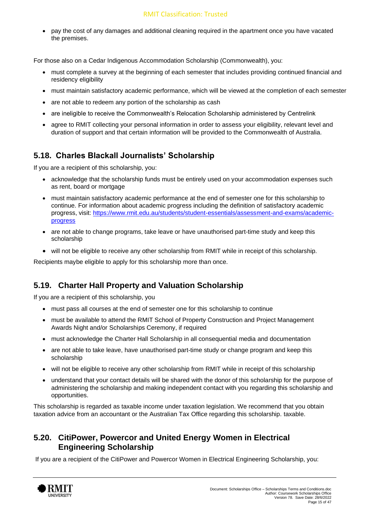• pay the cost of any damages and additional cleaning required in the apartment once you have vacated the premises.

For those also on a Cedar Indigenous Accommodation Scholarship (Commonwealth), you:

- must complete a survey at the beginning of each semester that includes providing continued financial and residency eligibility
- must maintain satisfactory academic performance, which will be viewed at the completion of each semester
- are not able to redeem any portion of the scholarship as cash
- are ineligible to receive the Commonwealth's Relocation Scholarship administered by Centrelink
- agree to RMIT collecting your personal information in order to assess your eligibility, relevant level and duration of support and that certain information will be provided to the Commonwealth of Australia.

## **5.18. Charles Blackall Journalists' Scholarship**

If you are a recipient of this scholarship, you:

- acknowledge that the scholarship funds must be entirely used on your accommodation expenses such as rent, board or mortgage
- must maintain satisfactory academic performance at the end of semester one for this scholarship to continue. For information about academic progress including the definition of satisfactory academic progress, visit: [https://www.rmit.edu.au/students/student-essentials/assessment-and-exams/academic](https://www.rmit.edu.au/students/student-essentials/assessment-and-exams/academic-progress)[progress](https://www.rmit.edu.au/students/student-essentials/assessment-and-exams/academic-progress)
- are not able to change programs, take leave or have unauthorised part-time study and keep this scholarship
- will not be eligible to receive any other scholarship from RMIT while in receipt of this scholarship.

Recipients maybe eligible to apply for this scholarship more than once.

#### **5.19. Charter Hall Property and Valuation Scholarship**

If you are a recipient of this scholarship, you

- must pass all courses at the end of semester one for this scholarship to continue
- must be available to attend the RMIT School of Property Construction and Project Management Awards Night and/or Scholarships Ceremony, if required
- must acknowledge the Charter Hall Scholarship in all consequential media and documentation
- are not able to take leave, have unauthorised part-time study or change program and keep this scholarship
- will not be eligible to receive any other scholarship from RMIT while in receipt of this scholarship
- understand that your contact details will be shared with the donor of this scholarship for the purpose of administering the scholarship and making independent contact with you regarding this scholarship and opportunities.

This scholarship is regarded as taxable income under taxation legislation. We recommend that you obtain taxation advice from an accountant or the Australian Tax Office regarding this scholarship. taxable.

#### **5.20. CitiPower, Powercor and United Energy Women in Electrical Engineering Scholarship**

If you are a recipient of the CitiPower and Powercor Women in Electrical Engineering Scholarship, you:

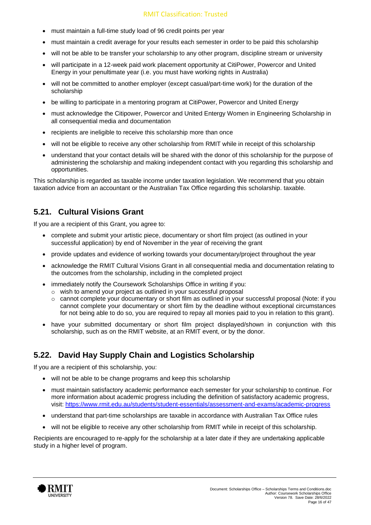- must maintain a full-time study load of 96 credit points per year
- must maintain a credit average for your results each semester in order to be paid this scholarship
- will not be able to be transfer your scholarship to any other program, discipline stream or university
- will participate in a 12-week paid work placement opportunity at CitiPower, Powercor and United Energy in your penultimate year (i.e. you must have working rights in Australia)
- will not be committed to another employer (except casual/part-time work) for the duration of the scholarship
- be willing to participate in a mentoring program at CitiPower, Powercor and United Energy
- must acknowledge the Citipower, Powercor and United Entergy Women in Engineering Scholarship in all consequential media and documentation
- recipients are ineligible to receive this scholarship more than once
- will not be eligible to receive any other scholarship from RMIT while in receipt of this scholarship
- understand that your contact details will be shared with the donor of this scholarship for the purpose of administering the scholarship and making independent contact with you regarding this scholarship and opportunities.

This scholarship is regarded as taxable income under taxation legislation. We recommend that you obtain taxation advice from an accountant or the Australian Tax Office regarding this scholarship. taxable.

#### **5.21. Cultural Visions Grant**

If you are a recipient of this Grant, you agree to:

- complete and submit your artistic piece, documentary or short film project (as outlined in your successful application) by end of November in the year of receiving the grant
- provide updates and evidence of working towards your documentary/project throughout the year
- acknowledge the RMIT Cultural Visions Grant in all consequential media and documentation relating to the outcomes from the scholarship, including in the completed project
- immediately notify the Coursework Scholarships Office in writing if you:
	- o wish to amend your project as outlined in your successful proposal
	- o cannot complete your documentary or short film as outlined in your successful proposal (Note: if you cannot complete your documentary or short film by the deadline without exceptional circumstances for not being able to do so, you are required to repay all monies paid to you in relation to this grant).
- have your submitted documentary or short film project displayed/shown in conjunction with this scholarship, such as on the RMIT website, at an RMIT event, or by the donor.

## **5.22. David Hay Supply Chain and Logistics Scholarship**

If you are a recipient of this scholarship, you:

- will not be able to be change programs and keep this scholarship
- must maintain satisfactory academic performance each semester for your scholarship to continue. For more information about academic progress including the definition of satisfactory academic progress, visit: <https://www.rmit.edu.au/students/student-essentials/assessment-and-exams/academic-progress>
- understand that part-time scholarships are taxable in accordance with Australian Tax Office rules
- will not be eligible to receive any other scholarship from RMIT while in receipt of this scholarship.

Recipients are encouraged to re-apply for the scholarship at a later date if they are undertaking applicable study in a higher level of program.

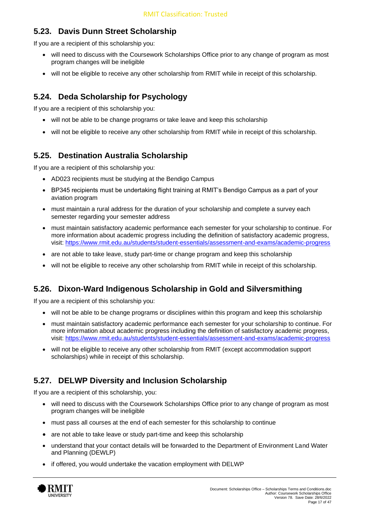# **5.23. Davis Dunn Street Scholarship**

If you are a recipient of this scholarship you:

- will need to discuss with the Coursework Scholarships Office prior to any change of program as most program changes will be ineligible
- will not be eligible to receive any other scholarship from RMIT while in receipt of this scholarship.

#### **5.24. Deda Scholarship for Psychology**

If you are a recipient of this scholarship you:

- will not be able to be change programs or take leave and keep this scholarship
- will not be eligible to receive any other scholarship from RMIT while in receipt of this scholarship.

#### **5.25. Destination Australia Scholarship**

If you are a recipient of this scholarship you:

- AD023 recipients must be studying at the Bendigo Campus
- BP345 recipients must be undertaking flight training at RMIT's Bendigo Campus as a part of your aviation program
- must maintain a rural address for the duration of your scholarship and complete a survey each semester regarding your semester address
- must maintain satisfactory academic performance each semester for your scholarship to continue. For more information about academic progress including the definition of satisfactory academic progress, visit:<https://www.rmit.edu.au/students/student-essentials/assessment-and-exams/academic-progress>
- are not able to take leave, study part-time or change program and keep this scholarship
- will not be eligible to receive any other scholarship from RMIT while in receipt of this scholarship.

## **5.26. Dixon-Ward Indigenous Scholarship in Gold and Silversmithing**

If you are a recipient of this scholarship you:

- will not be able to be change programs or disciplines within this program and keep this scholarship
- must maintain satisfactory academic performance each semester for your scholarship to continue. For more information about academic progress including the definition of satisfactory academic progress, visit:<https://www.rmit.edu.au/students/student-essentials/assessment-and-exams/academic-progress>
- will not be eligible to receive any other scholarship from RMIT (except accommodation support scholarships) while in receipt of this scholarship.

#### **5.27. DELWP Diversity and Inclusion Scholarship**

If you are a recipient of this scholarship, you:

- will need to discuss with the Coursework Scholarships Office prior to any change of program as most program changes will be ineligible
- must pass all courses at the end of each semester for this scholarship to continue
- are not able to take leave or study part-time and keep this scholarship
- understand that your contact details will be forwarded to the Department of Environment Land Water and Planning (DEWLP)
- if offered, you would undertake the vacation employment with DELWP

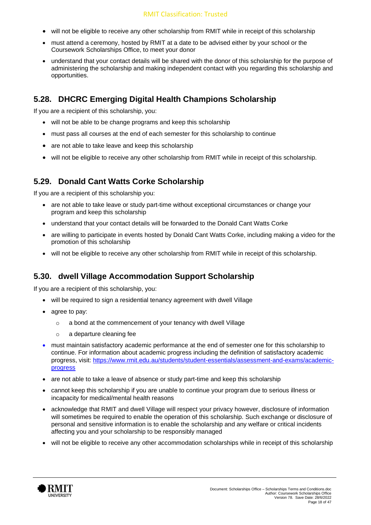- will not be eligible to receive any other scholarship from RMIT while in receipt of this scholarship
- must attend a ceremony, hosted by RMIT at a date to be advised either by your school or the Coursework Scholarships Office, to meet your donor
- understand that your contact details will be shared with the donor of this scholarship for the purpose of administering the scholarship and making independent contact with you regarding this scholarship and opportunities.

#### **5.28. DHCRC Emerging Digital Health Champions Scholarship**

If you are a recipient of this scholarship, you:

- will not be able to be change programs and keep this scholarship
- must pass all courses at the end of each semester for this scholarship to continue
- are not able to take leave and keep this scholarship
- will not be eligible to receive any other scholarship from RMIT while in receipt of this scholarship.

#### **5.29. Donald Cant Watts Corke Scholarship**

If you are a recipient of this scholarship you:

- are not able to take leave or study part-time without exceptional circumstances or change your program and keep this scholarship
- understand that your contact details will be forwarded to the Donald Cant Watts Corke
- are willing to participate in events hosted by Donald Cant Watts Corke, including making a video for the promotion of this scholarship
- will not be eligible to receive any other scholarship from RMIT while in receipt of this scholarship.

#### **5.30. dwell Village Accommodation Support Scholarship**

If you are a recipient of this scholarship, you:

- will be required to sign a residential tenancy agreement with dwell Village
- agree to pay:
	- o a bond at the commencement of your tenancy with dwell Village
	- o a departure cleaning fee
- must maintain satisfactory academic performance at the end of semester one for this scholarship to continue. For information about academic progress including the definition of satisfactory academic progress, visit: [https://www.rmit.edu.au/students/student-essentials/assessment-and-exams/academic](https://www.rmit.edu.au/students/student-essentials/assessment-and-exams/academic-progress)[progress](https://www.rmit.edu.au/students/student-essentials/assessment-and-exams/academic-progress)
- are not able to take a leave of absence or study part-time and keep this scholarship
- cannot keep this scholarship if you are unable to continue your program due to serious illness or incapacity for medical/mental health reasons
- acknowledge that RMIT and dwell Village will respect your privacy however, disclosure of information will sometimes be required to enable the operation of this scholarship. Such exchange or disclosure of personal and sensitive information is to enable the scholarship and any welfare or critical incidents affecting you and your scholarship to be responsibly managed
- will not be eligible to receive any other accommodation scholarships while in receipt of this scholarship

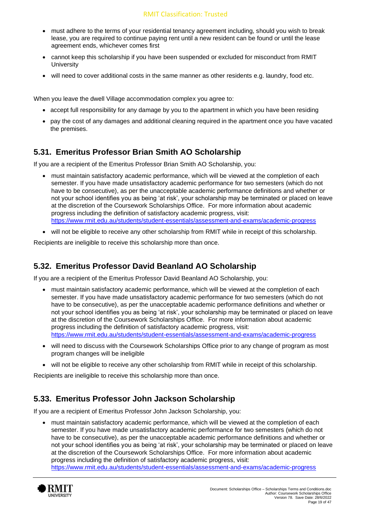- must adhere to the terms of your residential tenancy agreement including, should you wish to break lease, you are required to continue paying rent until a new resident can be found or until the lease agreement ends, whichever comes first
- cannot keep this scholarship if you have been suspended or excluded for misconduct from RMIT **University**
- will need to cover additional costs in the same manner as other residents e.g. laundry, food etc.

When you leave the dwell Village accommodation complex you agree to:

- accept full responsibility for any damage by you to the apartment in which you have been residing
- pay the cost of any damages and additional cleaning required in the apartment once you have vacated the premises.

#### **5.31. Emeritus Professor Brian Smith AO Scholarship**

If you are a recipient of the Emeritus Professor Brian Smith AO Scholarship, you:

- must maintain satisfactory academic performance, which will be viewed at the completion of each semester. If you have made unsatisfactory academic performance for two semesters (which do not have to be consecutive), as per the unacceptable academic performance definitions and whether or not your school identifies you as being 'at risk', your scholarship may be terminated or placed on leave at the discretion of the Coursework Scholarships Office. For more information about academic progress including the definition of satisfactory academic progress, visit: <https://www.rmit.edu.au/students/student-essentials/assessment-and-exams/academic-progress>
- will not be eligible to receive any other scholarship from RMIT while in receipt of this scholarship.

Recipients are ineligible to receive this scholarship more than once.

#### **5.32. Emeritus Professor David Beanland AO Scholarship**

If you are a recipient of the Emeritus Professor David Beanland AO Scholarship, you:

- must maintain satisfactory academic performance, which will be viewed at the completion of each semester. If you have made unsatisfactory academic performance for two semesters (which do not have to be consecutive), as per the unacceptable academic performance definitions and whether or not your school identifies you as being 'at risk', your scholarship may be terminated or placed on leave at the discretion of the Coursework Scholarships Office. For more information about academic progress including the definition of satisfactory academic progress, visit: <https://www.rmit.edu.au/students/student-essentials/assessment-and-exams/academic-progress>
- will need to discuss with the Coursework Scholarships Office prior to any change of program as most program changes will be ineligible
- will not be eligible to receive any other scholarship from RMIT while in receipt of this scholarship.

Recipients are ineligible to receive this scholarship more than once.

#### **5.33. Emeritus Professor John Jackson Scholarship**

If you are a recipient of Emeritus Professor John Jackson Scholarship, you:

• must maintain satisfactory academic performance, which will be viewed at the completion of each semester. If you have made unsatisfactory academic performance for two semesters (which do not have to be consecutive), as per the unacceptable academic performance definitions and whether or not your school identifies you as being 'at risk', your scholarship may be terminated or placed on leave at the discretion of the Coursework Scholarships Office. For more information about academic progress including the definition of satisfactory academic progress, visit: <https://www.rmit.edu.au/students/student-essentials/assessment-and-exams/academic-progress>

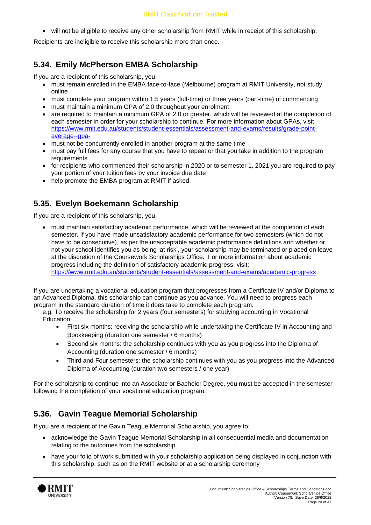• will not be eligible to receive any other scholarship from RMIT while in receipt of this scholarship.

Recipients are ineligible to receive this scholarship more than once.

#### **5.34. Emily McPherson EMBA Scholarship**

If you are a recipient of this scholarship, you:

- must remain enrolled in the EMBA face-to-face (Melbourne) program at RMIT University, not study online
- must complete your program within 1.5 years (full-time) or three years (part-time) of commencing
- must maintain a minimum GPA of 2.0 throughout your enrolment
- are required to maintain a minimum GPA of 2.0 or greater, which will be reviewed at the completion of each semester in order for your scholarship to continue. For more information about GPAs, visit [https://www.rmit.edu.au/students/student-essentials/assessment-and-exams/results/grade-point](https://www.rmit.edu.au/students/student-essentials/assessment-and-exams/results/grade-point-average--gpa-)[average--gpa-](https://www.rmit.edu.au/students/student-essentials/assessment-and-exams/results/grade-point-average--gpa-)
- must not be concurrently enrolled in another program at the same time
- must pay full fees for any course that you have to repeat or that you take in addition to the program requirements
- for recipients who commenced their scholarship in 2020 or to semester 1, 2021 you are required to pay your portion of your tuition fees by your invoice due date
- help promote the EMBA program at RMIT if asked.

#### **5.35. Evelyn Boekemann Scholarship**

If you are a recipient of this scholarship, you:

• must maintain satisfactory academic performance, which will be reviewed at the completion of each semester. If you have made unsatisfactory academic performance for two semesters (which do not have to be consecutive), as per the unacceptable academic performance definitions and whether or not your school identifies you as being 'at risk', your scholarship may be terminated or placed on leave at the discretion of the Coursework Scholarships Office. For more information about academic progress including the definition of satisfactory academic progress, visit: <https://www.rmit.edu.au/students/student-essentials/assessment-and-exams/academic-progress>

If you are undertaking a vocational education program that progresses from a Certificate IV and/or Diploma to an Advanced Diploma, this scholarship can continue as you advance. You will need to progress each program in the standard duration of time it does take to complete each program.

e.g. To receive the scholarship for 2 years (four semesters) for studying accounting in Vocational Education:

- First six months: receiving the scholarship while undertaking the Certificate IV in Accounting and Bookkeeping (duration one semester / 6 months)
- Second six months: the scholarship continues with you as you progress into the Diploma of Accounting (duration one semester / 6 months)
- Third and Four semesters: the scholarship continues with you as you progress into the Advanced Diploma of Accounting (duration two semesters / one year)

For the scholarship to continue into an Associate or Bachelor Degree, you must be accepted in the semester following the completion of your vocational education program.

## **5.36. Gavin Teague Memorial Scholarship**

If you are a recipient of the Gavin Teague Memorial Scholarship, you agree to:

- acknowledge the Gavin Teague Memorial Scholarship in all consequential media and documentation relating to the outcomes from the scholarship
- have your folio of work submitted with your scholarship application being displayed in conjunction with this scholarship, such as on the RMIT website or at a scholarship ceremony

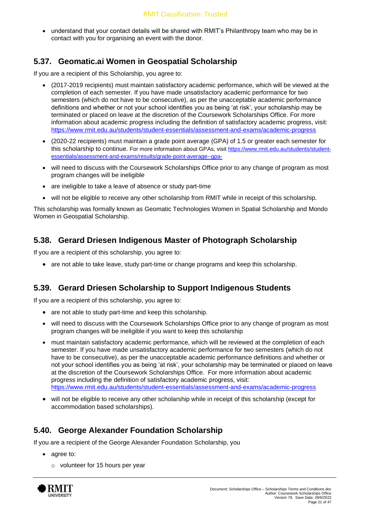• understand that your contact details will be shared with RMIT's Philanthropy team who may be in contact with you for organising an event with the donor.

#### **5.37. Geomatic.ai Women in Geospatial Scholarship**

If you are a recipient of this Scholarship, you agree to:

- (2017-2019 recipients) must maintain satisfactory academic performance, which will be viewed at the completion of each semester. If you have made unsatisfactory academic performance for two semesters (which do not have to be consecutive), as per the unacceptable academic performance definitions and whether or not your school identifies you as being 'at risk', your scholarship may be terminated or placed on leave at the discretion of the Coursework Scholarships Office. For more information about academic progress including the definition of satisfactory academic progress, visit: <https://www.rmit.edu.au/students/student-essentials/assessment-and-exams/academic-progress>
- (2020-22 recipients) must maintain a grade point average (GPA) of 1.5 or greater each semester for this scholarship to continue. For more information about GPAs, visit [https://www.rmit.edu.au/students/student](https://www.rmit.edu.au/students/student-essentials/assessment-and-exams/results/grade-point-average--gpa-)[essentials/assessment-and-exams/results/grade-point-average--gpa-](https://www.rmit.edu.au/students/student-essentials/assessment-and-exams/results/grade-point-average--gpa-)
- will need to discuss with the Coursework Scholarships Office prior to any change of program as most program changes will be ineligible
- are ineligible to take a leave of absence or study part-time
- will not be eligible to receive any other scholarship from RMIT while in receipt of this scholarship.

This scholarship was formally known as Geomatic Technologies Women in Spatial Scholarship and Mondo Women in Geospatial Scholarship.

#### **5.38. Gerard Driesen Indigenous Master of Photograph Scholarship**

If you are a recipient of this scholarship, you agree to:

• are not able to take leave, study part-time or change programs and keep this scholarship.

#### **5.39. Gerard Driesen Scholarship to Support Indigenous Students**

If you are a recipient of this scholarship, you agree to:

- are not able to study part-time and keep this scholarship.
- will need to discuss with the Coursework Scholarships Office prior to any change of program as most program changes will be ineligible if you want to keep this scholarship
- must maintain satisfactory academic performance, which will be reviewed at the completion of each semester. If you have made unsatisfactory academic performance for two semesters (which do not have to be consecutive), as per the unacceptable academic performance definitions and whether or not your school identifies you as being 'at risk', your scholarship may be terminated or placed on leave at the discretion of the Coursework Scholarships Office. For more information about academic progress including the definition of satisfactory academic progress, visit: <https://www.rmit.edu.au/students/student-essentials/assessment-and-exams/academic-progress>
- will not be eligible to receive any other scholarship while in receipt of this scholarship (except for accommodation based scholarships).

#### **5.40. George Alexander Foundation Scholarship**

If you are a recipient of the George Alexander Foundation Scholarship, you

- agree to:
	- o volunteer for 15 hours per year

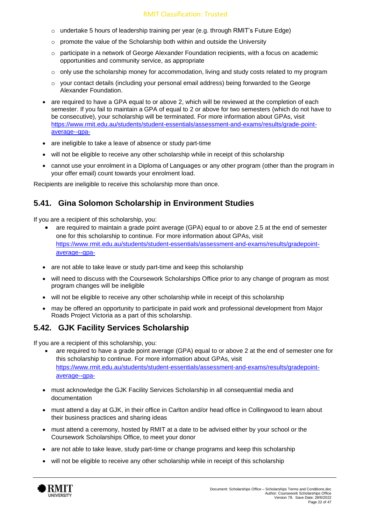- o undertake 5 hours of leadership training per year (e.g. through RMIT's Future Edge)
- o promote the value of the Scholarship both within and outside the University
- $\circ$  participate in a network of George Alexander Foundation recipients, with a focus on academic opportunities and community service, as appropriate
- $\circ$  only use the scholarship money for accommodation, living and study costs related to my program
- $\circ$  your contact details (including your personal email address) being forwarded to the George Alexander Foundation.
- are required to have a GPA equal to or above 2, which will be reviewed at the completion of each semester. If you fail to maintain a GPA of equal to 2 or above for two semesters (which do not have to be consecutive), your scholarship will be terminated. For more information about GPAs, visit [https://www.rmit.edu.au/students/student-essentials/assessment-and-exams/results/grade-point](https://www.rmit.edu.au/students/student-essentials/assessment-and-exams/results/grade-point-average--gpa-)[average--gpa-](https://www.rmit.edu.au/students/student-essentials/assessment-and-exams/results/grade-point-average--gpa-)
- are ineligible to take a leave of absence or study part-time
- will not be eligible to receive any other scholarship while in receipt of this scholarship
- cannot use your enrolment in a Diploma of Languages or any other program (other than the program in your offer email) count towards your enrolment load.

Recipients are ineligible to receive this scholarship more than once.

#### **5.41. Gina Solomon Scholarship in Environment Studies**

If you are a recipient of this scholarship, you:

- are required to maintain a grade point average (GPA) equal to or above 2.5 at the end of semester one for this scholarship to continue. For more information about GPAs, visit [https://www.rmit.edu.au/students/student-essentials/assessment-and-exams/results/gradepoint](https://www.rmit.edu.au/students/student-essentials/assessment-and-exams/results/gradepoint-average--gpa-)[average--gpa-](https://www.rmit.edu.au/students/student-essentials/assessment-and-exams/results/gradepoint-average--gpa-)
- are not able to take leave or study part-time and keep this scholarship
- will need to discuss with the Coursework Scholarships Office prior to any change of program as most program changes will be ineligible
- will not be eligible to receive any other scholarship while in receipt of this scholarship
- may be offered an opportunity to participate in paid work and professional development from Major Roads Project Victoria as a part of this scholarship.

#### **5.42. GJK Facility Services Scholarship**

If you are a recipient of this scholarship, you:

- are required to have a grade point average (GPA) equal to or above 2 at the end of semester one for this scholarship to continue. For more information about GPAs, visit [https://www.rmit.edu.au/students/student-essentials/assessment-and-exams/results/gradepoint](https://www.rmit.edu.au/students/student-essentials/assessment-and-exams/results/gradepoint-average--gpa-)[average--gpa-](https://www.rmit.edu.au/students/student-essentials/assessment-and-exams/results/gradepoint-average--gpa-)
- must acknowledge the GJK Facility Services Scholarship in all consequential media and documentation
- must attend a day at GJK, in their office in Carlton and/or head office in Collingwood to learn about their business practices and sharing ideas
- must attend a ceremony, hosted by RMIT at a date to be advised either by your school or the Coursework Scholarships Office, to meet your donor
- are not able to take leave, study part-time or change programs and keep this scholarship
- will not be eligible to receive any other scholarship while in receipt of this scholarship

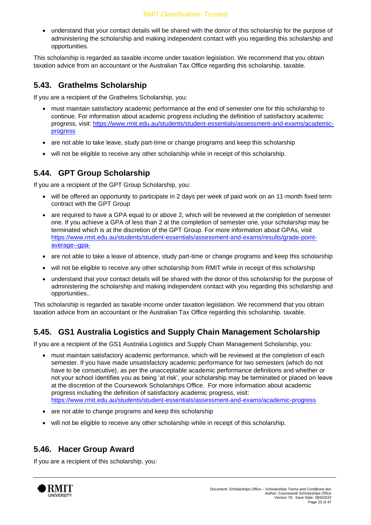• understand that your contact details will be shared with the donor of this scholarship for the purpose of administering the scholarship and making independent contact with you regarding this scholarship and opportunities.

This scholarship is regarded as taxable income under taxation legislation. We recommend that you obtain taxation advice from an accountant or the Australian Tax Office regarding this scholarship. taxable.

#### **5.43. Grathelms Scholarship**

If you are a recipient of the Grathelms Scholarship, you:

- must maintain satisfactory academic performance at the end of semester one for this scholarship to continue. For information about academic progress including the definition of satisfactory academic progress, visit: [https://www.rmit.edu.au/students/student-essentials/assessment-and-exams/academic](https://www.rmit.edu.au/students/student-essentials/assessment-and-exams/academic-progress)[progress](https://www.rmit.edu.au/students/student-essentials/assessment-and-exams/academic-progress)
- are not able to take leave, study part-time or change programs and keep this scholarship
- will not be eligible to receive any other scholarship while in receipt of this scholarship.

#### **5.44. GPT Group Scholarship**

If you are a recipient of the GPT Group Scholarship, you:

- will be offered an opportunity to participate in 2 days per week of paid work on an 11-month fixed term contract with the GPT Group
- are required to have a GPA equal to or above 2, which will be reviewed at the completion of semester one. If you achieve a GPA of less than 2 at the completion of semester one, your scholarship may be terminated which is at the discretion of the GPT Group. For more information about GPAs, visit [https://www.rmit.edu.au/students/student-essentials/assessment-and-exams/results/grade-point](https://www.rmit.edu.au/students/student-essentials/assessment-and-exams/results/grade-point-average--gpa-)[average--gpa-](https://www.rmit.edu.au/students/student-essentials/assessment-and-exams/results/grade-point-average--gpa-)
- are not able to take a leave of absence, study part-time or change programs and keep this scholarship
- will not be eligible to receive any other scholarship from RMIT while in receipt of this scholarship
- understand that your contact details will be shared with the donor of this scholarship for the purpose of administering the scholarship and making independent contact with you regarding this scholarship and opportunities..

This scholarship is regarded as taxable income under taxation legislation. We recommend that you obtain taxation advice from an accountant or the Australian Tax Office regarding this scholarship. taxable.

## **5.45. GS1 Australia Logistics and Supply Chain Management Scholarship**

If you are a recipient of the GS1 Australia Logistics and Supply Chain Management Scholarship, you:

- must maintain satisfactory academic performance, which will be reviewed at the completion of each semester. If you have made unsatisfactory academic performance for two semesters (which do not have to be consecutive), as per the unacceptable academic performance definitions and whether or not your school identifies you as being 'at risk', your scholarship may be terminated or placed on leave at the discretion of the Coursework Scholarships Office. For more information about academic progress including the definition of satisfactory academic progress, visit: <https://www.rmit.edu.au/students/student-essentials/assessment-and-exams/academic-progress>
- are not able to change programs and keep this scholarship
- will not be eligible to receive any other scholarship while in receipt of this scholarship.

#### **5.46. Hacer Group Award**

If you are a recipient of this scholarship, you:

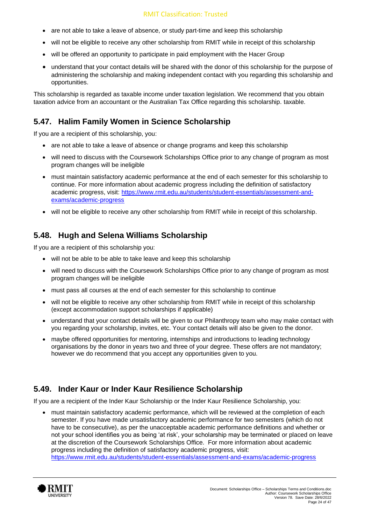- are not able to take a leave of absence, or study part-time and keep this scholarship
- will not be eligible to receive any other scholarship from RMIT while in receipt of this scholarship
- will be offered an opportunity to participate in paid employment with the Hacer Group
- understand that your contact details will be shared with the donor of this scholarship for the purpose of administering the scholarship and making independent contact with you regarding this scholarship and opportunities.

This scholarship is regarded as taxable income under taxation legislation. We recommend that you obtain taxation advice from an accountant or the Australian Tax Office regarding this scholarship. taxable.

#### **5.47. Halim Family Women in Science Scholarship**

If you are a recipient of this scholarship, you:

- are not able to take a leave of absence or change programs and keep this scholarship
- will need to discuss with the Coursework Scholarships Office prior to any change of program as most program changes will be ineligible
- must maintain satisfactory academic performance at the end of each semester for this scholarship to continue. For more information about academic progress including the definition of satisfactory academic progress, visit: [https://www.rmit.edu.au/students/student-essentials/assessment-and](https://www.rmit.edu.au/students/student-essentials/assessment-and-exams/academic-progress)[exams/academic-progress](https://www.rmit.edu.au/students/student-essentials/assessment-and-exams/academic-progress)
- will not be eligible to receive any other scholarship from RMIT while in receipt of this scholarship.

#### **5.48. Hugh and Selena Williams Scholarship**

If you are a recipient of this scholarship you:

- will not be able to be able to take leave and keep this scholarship
- will need to discuss with the Coursework Scholarships Office prior to any change of program as most program changes will be ineligible
- must pass all courses at the end of each semester for this scholarship to continue
- will not be eligible to receive any other scholarship from RMIT while in receipt of this scholarship (except accommodation support scholarships if applicable)
- understand that your contact details will be given to our Philanthropy team who may make contact with you regarding your scholarship, invites, etc. Your contact details will also be given to the donor.
- maybe offered opportunities for mentoring, internships and introductions to leading technology organisations by the donor in years two and three of your degree. These offers are not mandatory; however we do recommend that you accept any opportunities given to you.

#### **5.49. Inder Kaur or Inder Kaur Resilience Scholarship**

If you are a recipient of the Inder Kaur Scholarship or the Inder Kaur Resilience Scholarship, you:

• must maintain satisfactory academic performance, which will be reviewed at the completion of each semester. If you have made unsatisfactory academic performance for two semesters (which do not have to be consecutive), as per the unacceptable academic performance definitions and whether or not your school identifies you as being 'at risk', your scholarship may be terminated or placed on leave at the discretion of the Coursework Scholarships Office. For more information about academic progress including the definition of satisfactory academic progress, visit: <https://www.rmit.edu.au/students/student-essentials/assessment-and-exams/academic-progress>

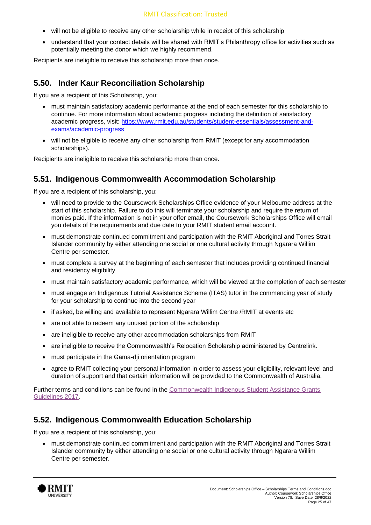- will not be eligible to receive any other scholarship while in receipt of this scholarship
- understand that your contact details will be shared with RMIT's Philanthropy office for activities such as potentially meeting the donor which we highly recommend.

Recipients are ineligible to receive this scholarship more than once.

#### **5.50. Inder Kaur Reconciliation Scholarship**

If you are a recipient of this Scholarship, you:

- must maintain satisfactory academic performance at the end of each semester for this scholarship to continue. For more information about academic progress including the definition of satisfactory academic progress, visit: [https://www.rmit.edu.au/students/student-essentials/assessment-and](https://www.rmit.edu.au/students/student-essentials/assessment-and-exams/academic-progress)[exams/academic-progress](https://www.rmit.edu.au/students/student-essentials/assessment-and-exams/academic-progress)
- will not be eligible to receive any other scholarship from RMIT (except for any accommodation scholarships).

Recipients are ineligible to receive this scholarship more than once.

#### **5.51. Indigenous Commonwealth Accommodation Scholarship**

If you are a recipient of this scholarship, you:

- will need to provide to the Coursework Scholarships Office evidence of your Melbourne address at the start of this scholarship. Failure to do this will terminate your scholarship and require the return of monies paid. If the information is not in your offer email, the Coursework Scholarships Office will email you details of the requirements and due date to your RMIT student email account.
- must demonstrate continued commitment and participation with the RMIT Aboriginal and Torres Strait Islander community by either attending one social or one cultural activity through Ngarara Willim Centre per semester.
- must complete a survey at the beginning of each semester that includes providing continued financial and residency eligibility
- must maintain satisfactory academic performance, which will be viewed at the completion of each semester
- must engage an Indigenous Tutorial Assistance Scheme (ITAS) tutor in the commencing year of study for your scholarship to continue into the second year
- if asked, be willing and available to represent Ngarara Willim Centre /RMIT at events etc
- are not able to redeem any unused portion of the scholarship
- are ineligible to receive any other accommodation scholarships from RMIT
- are ineligible to receive the Commonwealth's Relocation Scholarship administered by Centrelink.
- must participate in the Gama-dji orientation program
- agree to RMIT collecting your personal information in order to assess your eligibility, relevant level and duration of support and that certain information will be provided to the Commonwealth of Australia.

Further terms and conditions can be found in the [Commonwealth Indigenous Student Assistance Grants](https://www.legislation.gov.au/Details/F2017L00036)  [Guidelines 2017.](https://www.legislation.gov.au/Details/F2017L00036)

#### **5.52. Indigenous Commonwealth Education Scholarship**

If you are a recipient of this scholarship, you:

• must demonstrate continued commitment and participation with the RMIT Aboriginal and Torres Strait Islander community by either attending one social or one cultural activity through Ngarara Willim Centre per semester.

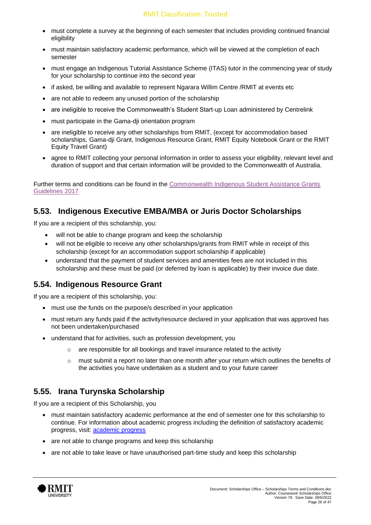- must complete a survey at the beginning of each semester that includes providing continued financial eligibility
- must maintain satisfactory academic performance, which will be viewed at the completion of each semester
- must engage an Indigenous Tutorial Assistance Scheme (ITAS) tutor in the commencing year of study for your scholarship to continue into the second year
- if asked, be willing and available to represent Ngarara Willim Centre /RMIT at events etc
- are not able to redeem any unused portion of the scholarship
- are ineligible to receive the Commonwealth's Student Start-up Loan administered by Centrelink
- must participate in the Gama-dji orientation program
- are ineligible to receive any other scholarships from RMIT, (except for accommodation based scholarships, Gama-dji Grant, Indigenous Resource Grant, RMIT Equity Notebook Grant or the RMIT Equity Travel Grant)
- agree to RMIT collecting your personal information in order to assess your eligibility, relevant level and duration of support and that certain information will be provided to the Commonwealth of Australia.

Further terms and conditions can be found in the [Commonwealth Indigenous Student Assistance Grants](https://www.legislation.gov.au/Details/F2017L00036)  [Guidelines 2017](https://www.legislation.gov.au/Details/F2017L00036)

#### **5.53. Indigenous Executive EMBA/MBA or Juris Doctor Scholarships**

If you are a recipient of this scholarship, you:

- will not be able to change program and keep the scholarship
- will not be eligible to receive any other scholarships/grants from RMIT while in receipt of this scholarship (except for an accommodation support scholarship if applicable)
- understand that the payment of student services and amenities fees are not included in this scholarship and these must be paid (or deferred by loan is applicable) by their invoice due date.

#### **5.54. Indigenous Resource Grant**

If you are a recipient of this scholarship, you:

- must use the funds on the purpose/s described in your application
- must return any funds paid if the activity/resource declared in your application that was approved has not been undertaken/purchased
- understand that for activities, such as profession development, you
	- are responsible for all bookings and travel insurance related to the activity
	- $\circ$  must submit a report no later than one month after your return which outlines the benefits of the activities you have undertaken as a student and to your future career

#### **5.55. Irana Turynska Scholarship**

If you are a recipient of this Scholarship, you

- must maintain satisfactory academic performance at the end of semester one for this scholarship to continue. For information about academic progress including the definition of satisfactory academic progress, visit: [academic progress](https://www.rmit.edu.au/students/student-essentials/assessment-and-exams/academic-progress)
- are not able to change programs and keep this scholarship
- are not able to take leave or have unauthorised part-time study and keep this scholarship

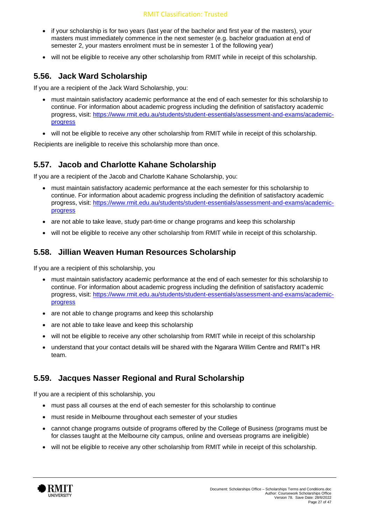- if your scholarship is for two years (last year of the bachelor and first year of the masters), your masters must immediately commence in the next semester (e.g. bachelor graduation at end of semester 2, your masters enrolment must be in semester 1 of the following year)
- will not be eligible to receive any other scholarship from RMIT while in receipt of this scholarship.

#### **5.56. Jack Ward Scholarship**

If you are a recipient of the Jack Ward Scholarship, you:

- must maintain satisfactory academic performance at the end of each semester for this scholarship to continue. For information about academic progress including the definition of satisfactory academic progress, visit: [https://www.rmit.edu.au/students/student-essentials/assessment-and-exams/academic](https://www.rmit.edu.au/students/student-essentials/assessment-and-exams/academic-progress)[progress](https://www.rmit.edu.au/students/student-essentials/assessment-and-exams/academic-progress)
- will not be eligible to receive any other scholarship from RMIT while in receipt of this scholarship.

Recipients are ineligible to receive this scholarship more than once.

#### **5.57. Jacob and Charlotte Kahane Scholarship**

If you are a recipient of the Jacob and Charlotte Kahane Scholarship, you:

- must maintain satisfactory academic performance at the each semester for this scholarship to continue. For information about academic progress including the definition of satisfactory academic progress, visit: [https://www.rmit.edu.au/students/student-essentials/assessment-and-exams/academic](https://www.rmit.edu.au/students/student-essentials/assessment-and-exams/academic-progress)[progress](https://www.rmit.edu.au/students/student-essentials/assessment-and-exams/academic-progress)
- are not able to take leave, study part-time or change programs and keep this scholarship
- will not be eligible to receive any other scholarship from RMIT while in receipt of this scholarship.

#### **5.58. Jillian Weaven Human Resources Scholarship**

If you are a recipient of this scholarship, you

- must maintain satisfactory academic performance at the end of each semester for this scholarship to continue. For information about academic progress including the definition of satisfactory academic progress, visit: [https://www.rmit.edu.au/students/student-essentials/assessment-and-exams/academic](https://www.rmit.edu.au/students/student-essentials/assessment-and-exams/academic-progress)[progress](https://www.rmit.edu.au/students/student-essentials/assessment-and-exams/academic-progress)
- are not able to change programs and keep this scholarship
- are not able to take leave and keep this scholarship
- will not be eligible to receive any other scholarship from RMIT while in receipt of this scholarship
- understand that your contact details will be shared with the Ngarara Willim Centre and RMIT's HR team.

#### **5.59. Jacques Nasser Regional and Rural Scholarship**

If you are a recipient of this scholarship, you

- must pass all courses at the end of each semester for this scholarship to continue
- must reside in Melbourne throughout each semester of your studies
- cannot change programs outside of programs offered by the College of Business (programs must be for classes taught at the Melbourne city campus, online and overseas programs are ineligible)
- will not be eligible to receive any other scholarship from RMIT while in receipt of this scholarship.

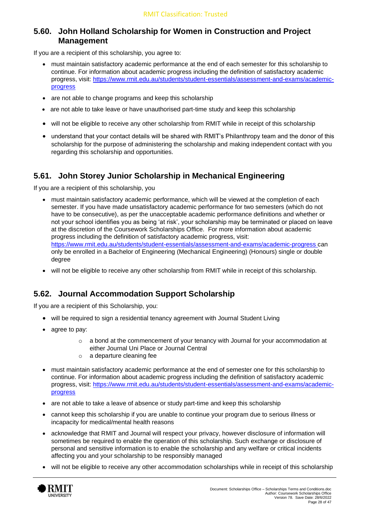#### **5.60. John Holland Scholarship for Women in Construction and Project Management**

If you are a recipient of this scholarship, you agree to:

- must maintain satisfactory academic performance at the end of each semester for this scholarship to continue. For information about academic progress including the definition of satisfactory academic progress, visit: [https://www.rmit.edu.au/students/student-essentials/assessment-and-exams/academic](https://www.rmit.edu.au/students/student-essentials/assessment-and-exams/academic-progress)[progress](https://www.rmit.edu.au/students/student-essentials/assessment-and-exams/academic-progress)
- are not able to change programs and keep this scholarship
- are not able to take leave or have unauthorised part-time study and keep this scholarship
- will not be eligible to receive any other scholarship from RMIT while in receipt of this scholarship
- understand that your contact details will be shared with RMIT's Philanthropy team and the donor of this scholarship for the purpose of administering the scholarship and making independent contact with you regarding this scholarship and opportunities.

#### **5.61. John Storey Junior Scholarship in Mechanical Engineering**

If you are a recipient of this scholarship, you

- must maintain satisfactory academic performance, which will be viewed at the completion of each semester. If you have made unsatisfactory academic performance for two semesters (which do not have to be consecutive), as per the unacceptable academic performance definitions and whether or not your school identifies you as being 'at risk', your scholarship may be terminated or placed on leave at the discretion of the Coursework Scholarships Office. For more information about academic progress including the definition of satisfactory academic progress, visit: <https://www.rmit.edu.au/students/student-essentials/assessment-and-exams/academic-progress> can only be enrolled in a Bachelor of Engineering (Mechanical Engineering) (Honours) single or double degree
- will not be eligible to receive any other scholarship from RMIT while in receipt of this scholarship.

#### **5.62. Journal Accommodation Support Scholarship**

If you are a recipient of this Scholarship, you:

- will be required to sign a residential tenancy agreement with Journal Student Living
- agree to pay:
	- $\circ$  a bond at the commencement of your tenancy with Journal for your accommodation at either Journal Uni Place or Journal Central
	- o a departure cleaning fee
- must maintain satisfactory academic performance at the end of semester one for this scholarship to continue. For information about academic progress including the definition of satisfactory academic progress, visit: [https://www.rmit.edu.au/students/student-essentials/assessment-and-exams/academic](https://www.rmit.edu.au/students/student-essentials/assessment-and-exams/academic-progress)[progress](https://www.rmit.edu.au/students/student-essentials/assessment-and-exams/academic-progress)
- are not able to take a leave of absence or study part-time and keep this scholarship
- cannot keep this scholarship if you are unable to continue your program due to serious illness or incapacity for medical/mental health reasons
- acknowledge that RMIT and Journal will respect your privacy, however disclosure of information will sometimes be required to enable the operation of this scholarship. Such exchange or disclosure of personal and sensitive information is to enable the scholarship and any welfare or critical incidents affecting you and your scholarship to be responsibly managed
- will not be eligible to receive any other accommodation scholarships while in receipt of this scholarship

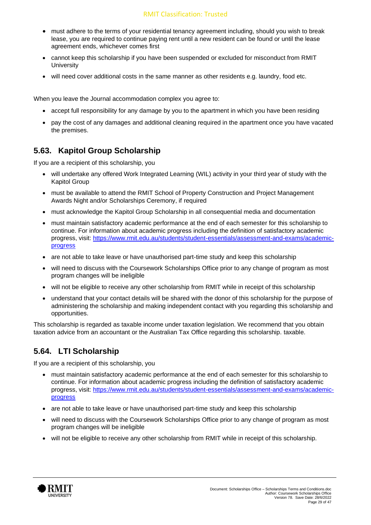- must adhere to the terms of your residential tenancy agreement including, should you wish to break lease, you are required to continue paying rent until a new resident can be found or until the lease agreement ends, whichever comes first
- cannot keep this scholarship if you have been suspended or excluded for misconduct from RMIT **University**
- will need cover additional costs in the same manner as other residents e.g. laundry, food etc.

When you leave the Journal accommodation complex you agree to:

- accept full responsibility for any damage by you to the apartment in which you have been residing
- pay the cost of any damages and additional cleaning required in the apartment once you have vacated the premises.

#### **5.63. Kapitol Group Scholarship**

If you are a recipient of this scholarship, you

- will undertake any offered Work Integrated Learning (WIL) activity in your third year of study with the Kapitol Group
- must be available to attend the RMIT School of Property Construction and Project Management Awards Night and/or Scholarships Ceremony, if required
- must acknowledge the Kapitol Group Scholarship in all consequential media and documentation
- must maintain satisfactory academic performance at the end of each semester for this scholarship to continue. For information about academic progress including the definition of satisfactory academic progress, visit: [https://www.rmit.edu.au/students/student-essentials/assessment-and-exams/academic](https://www.rmit.edu.au/students/student-essentials/assessment-and-exams/academic-progress)[progress](https://www.rmit.edu.au/students/student-essentials/assessment-and-exams/academic-progress)
- are not able to take leave or have unauthorised part-time study and keep this scholarship
- will need to discuss with the Coursework Scholarships Office prior to any change of program as most program changes will be ineligible
- will not be eligible to receive any other scholarship from RMIT while in receipt of this scholarship
- understand that your contact details will be shared with the donor of this scholarship for the purpose of administering the scholarship and making independent contact with you regarding this scholarship and opportunities.

This scholarship is regarded as taxable income under taxation legislation. We recommend that you obtain taxation advice from an accountant or the Australian Tax Office regarding this scholarship. taxable.

#### **5.64. LTI Scholarship**

If you are a recipient of this scholarship, you

- must maintain satisfactory academic performance at the end of each semester for this scholarship to continue. For information about academic progress including the definition of satisfactory academic progress, visit: [https://www.rmit.edu.au/students/student-essentials/assessment-and-exams/academic](https://www.rmit.edu.au/students/student-essentials/assessment-and-exams/academic-progress)[progress](https://www.rmit.edu.au/students/student-essentials/assessment-and-exams/academic-progress)
- are not able to take leave or have unauthorised part-time study and keep this scholarship
- will need to discuss with the Coursework Scholarships Office prior to any change of program as most program changes will be ineligible
- will not be eligible to receive any other scholarship from RMIT while in receipt of this scholarship.

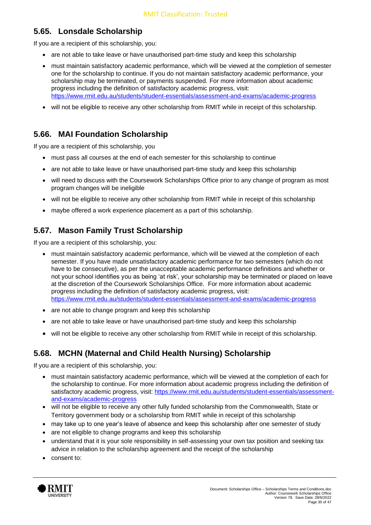# **5.65. Lonsdale Scholarship**

If you are a recipient of this scholarship, you:

- are not able to take leave or have unauthorised part-time study and keep this scholarship
- must maintain satisfactory academic performance, which will be viewed at the completion of semester one for the scholarship to continue. If you do not maintain satisfactory academic performance, your scholarship may be terminated, or payments suspended. For more information about academic progress including the definition of satisfactory academic progress, visit: <https://www.rmit.edu.au/students/student-essentials/assessment-and-exams/academic-progress>
- will not be eligible to receive any other scholarship from RMIT while in receipt of this scholarship.

## **5.66. MAI Foundation Scholarship**

If you are a recipient of this scholarship, you

- must pass all courses at the end of each semester for this scholarship to continue
- are not able to take leave or have unauthorised part-time study and keep this scholarship
- will need to discuss with the Coursework Scholarships Office prior to any change of program as most program changes will be ineligible
- will not be eligible to receive any other scholarship from RMIT while in receipt of this scholarship
- maybe offered a work experience placement as a part of this scholarship.

## **5.67. Mason Family Trust Scholarship**

If you are a recipient of this scholarship, you:

- must maintain satisfactory academic performance, which will be viewed at the completion of each semester. If you have made unsatisfactory academic performance for two semesters (which do not have to be consecutive), as per the unacceptable academic performance definitions and whether or not your school identifies you as being 'at risk', your scholarship may be terminated or placed on leave at the discretion of the Coursework Scholarships Office. For more information about academic progress including the definition of satisfactory academic progress, visit: <https://www.rmit.edu.au/students/student-essentials/assessment-and-exams/academic-progress>
- are not able to change program and keep this scholarship
- are not able to take leave or have unauthorised part-time study and keep this scholarship
- will not be eligible to receive any other scholarship from RMIT while in receipt of this scholarship.

## **5.68. MCHN (Maternal and Child Health Nursing) Scholarship**

If you are a recipient of this scholarship, you:

- must maintain satisfactory academic performance, which will be viewed at the completion of each for the scholarship to continue. For more information about academic progress including the definition of satisfactory academic progress, visit: [https://www.rmit.edu.au/students/student-essentials/assessment](https://www.rmit.edu.au/students/student-essentials/assessment-and-exams/academic-progress)[and-exams/academic-progress](https://www.rmit.edu.au/students/student-essentials/assessment-and-exams/academic-progress)
- will not be eligible to receive any other fully funded scholarship from the Commonwealth, State or Territory government body or a scholarship from RMIT while in receipt of this scholarship
- may take up to one year's leave of absence and keep this scholarship after one semester of study
- are not eligible to change programs and keep this scholarship
- understand that it is your sole responsibility in self-assessing your own tax position and seeking tax advice in relation to the scholarship agreement and the receipt of the scholarship
- consent to:

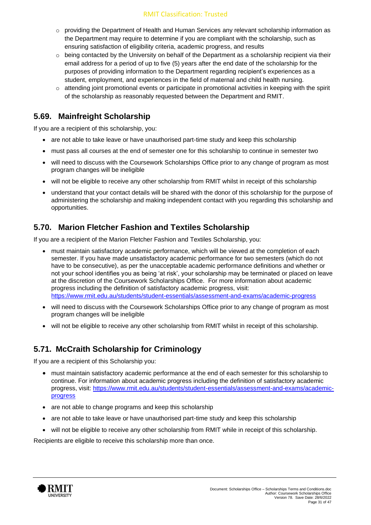#### RMIT Classification: Trusted

- o providing the Department of Health and Human Services any relevant scholarship information as the Department may require to determine if you are compliant with the scholarship, such as ensuring satisfaction of eligibility criteria, academic progress, and results
- $\circ$  being contacted by the University on behalf of the Department as a scholarship recipient via their email address for a period of up to five (5) years after the end date of the scholarship for the purposes of providing information to the Department regarding recipient's experiences as a student, employment, and experiences in the field of maternal and child health nursing.
- $\circ$  attending joint promotional events or participate in promotional activities in keeping with the spirit of the scholarship as reasonably requested between the Department and RMIT.

#### **5.69. Mainfreight Scholarship**

If you are a recipient of this scholarship, you:

- are not able to take leave or have unauthorised part-time study and keep this scholarship
- must pass all courses at the end of semester one for this scholarship to continue in semester two
- will need to discuss with the Coursework Scholarships Office prior to any change of program as most program changes will be ineligible
- will not be eligible to receive any other scholarship from RMIT whilst in receipt of this scholarship
- understand that your contact details will be shared with the donor of this scholarship for the purpose of administering the scholarship and making independent contact with you regarding this scholarship and opportunities.

#### **5.70. Marion Fletcher Fashion and Textiles Scholarship**

If you are a recipient of the Marion Fletcher Fashion and Textiles Scholarship, you:

- must maintain satisfactory academic performance, which will be viewed at the completion of each semester. If you have made unsatisfactory academic performance for two semesters (which do not have to be consecutive), as per the unacceptable academic performance definitions and whether or not your school identifies you as being 'at risk', your scholarship may be terminated or placed on leave at the discretion of the Coursework Scholarships Office. For more information about academic progress including the definition of satisfactory academic progress, visit: <https://www.rmit.edu.au/students/student-essentials/assessment-and-exams/academic-progress>
- will need to discuss with the Coursework Scholarships Office prior to any change of program as most program changes will be ineligible
- will not be eligible to receive any other scholarship from RMIT whilst in receipt of this scholarship.

## **5.71. McCraith Scholarship for Criminology**

If you are a recipient of this Scholarship you:

- must maintain satisfactory academic performance at the end of each semester for this scholarship to continue. For information about academic progress including the definition of satisfactory academic progress, visit: [https://www.rmit.edu.au/students/student-essentials/assessment-and-exams/academic](https://www.rmit.edu.au/students/student-essentials/assessment-and-exams/academic-progress)[progress](https://www.rmit.edu.au/students/student-essentials/assessment-and-exams/academic-progress)
- are not able to change programs and keep this scholarship
- are not able to take leave or have unauthorised part-time study and keep this scholarship
- will not be eligible to receive any other scholarship from RMIT while in receipt of this scholarship.

Recipients are eligible to receive this scholarship more than once.

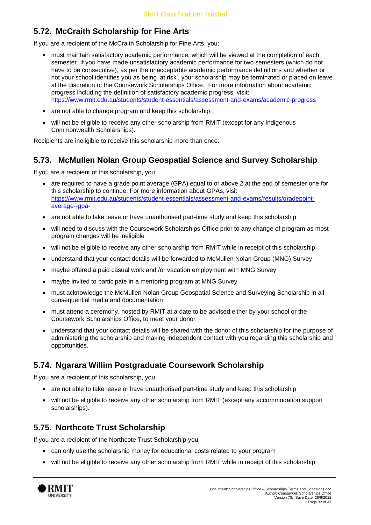# **5.72. McCraith Scholarship for Fine Arts**

If you are a recipient of the McCraith Scholarship for Fine Arts, you:

- must maintain satisfactory academic performance, which will be viewed at the completion of each semester. If you have made unsatisfactory academic performance for two semesters (which do not have to be consecutive), as per the unacceptable academic performance definitions and whether or not your school identifies you as being 'at risk', your scholarship may be terminated or placed on leave at the discretion of the Coursework Scholarships Office. For more information about academic progress including the definition of satisfactory academic progress, visit: <https://www.rmit.edu.au/students/student-essentials/assessment-and-exams/academic-progress>
- are not able to change program and keep this scholarship
- will not be eligible to receive any other scholarship from RMIT (except for any Indigenous Commonwealth Scholarships).

Recipients are ineligible to receive this scholarship more than once.

#### **5.73. McMullen Nolan Group Geospatial Science and Survey Scholarship**

If you are a recipient of this scholarship, you

- are required to have a grade point average (GPA) equal to or above 2 at the end of semester one for this scholarship to continue. For more information about GPAs, visit [https://www.rmit.edu.au/students/student-essentials/assessment-and-exams/results/gradepoint](https://www.rmit.edu.au/students/student-essentials/assessment-and-exams/results/gradepoint-average--gpa-)[average--gpa-](https://www.rmit.edu.au/students/student-essentials/assessment-and-exams/results/gradepoint-average--gpa-)
- are not able to take leave or have unauthorised part-time study and keep this scholarship
- will need to discuss with the Coursework Scholarships Office prior to any change of program as most program changes will be ineligible
- will not be eligible to receive any other scholarship from RMIT while in receipt of this scholarship
- understand that your contact details will be forwarded to McMullen Nolan Group (MNG) Survey
- maybe offered a paid casual work and /or vacation employment with MNG Survey
- maybe invited to participate in a mentoring program at MNG Survey
- must acknowledge the McMullen Nolan Group Geospatial Science and Surveying Scholarship in all consequential media and documentation
- must attend a ceremony, hosted by RMIT at a date to be advised either by your school or the Coursework Scholarships Office, to meet your donor
- understand that your contact details will be shared with the donor of this scholarship for the purpose of administering the scholarship and making independent contact with you regarding this scholarship and opportunities.

#### **5.74. Ngarara Willim Postgraduate Coursework Scholarship**

If you are a recipient of this scholarship, you:

- are not able to take leave or have unauthorised part-time study and keep this scholarship
- will not be eligible to receive any other scholarship from RMIT (except any accommodation support scholarships).

#### **5.75. Northcote Trust Scholarship**

If you are a recipient of the Northcote Trust Scholarship you:

- can only use the scholarship money for educational costs related to your program
- will not be eligible to receive any other scholarship from RMIT while in receipt of this scholarship

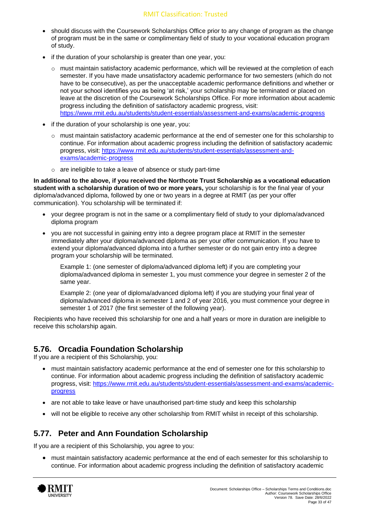- should discuss with the Coursework Scholarships Office prior to any change of program as the change of program must be in the same or complimentary field of study to your vocational education program of study.
- if the duration of your scholarship is greater than one year, you:
	- $\circ$  must maintain satisfactory academic performance, which will be reviewed at the completion of each semester. If you have made unsatisfactory academic performance for two semesters (which do not have to be consecutive), as per the unacceptable academic performance definitions and whether or not your school identifies you as being 'at risk,' your scholarship may be terminated or placed on leave at the discretion of the Coursework Scholarships Office. For more information about academic progress including the definition of satisfactory academic progress, visit: <https://www.rmit.edu.au/students/student-essentials/assessment-and-exams/academic-progress>
- if the duration of your scholarship is one year, you:
	- $\circ$  must maintain satisfactory academic performance at the end of semester one for this scholarship to continue. For information about academic progress including the definition of satisfactory academic progress, visit: [https://www.rmit.edu.au/students/student-essentials/assessment-and](https://www.rmit.edu.au/students/student-essentials/assessment-and-exams/academic-progress)[exams/academic-progress](https://www.rmit.edu.au/students/student-essentials/assessment-and-exams/academic-progress)
	- o are ineligible to take a leave of absence or study part-time

**In additional to the above, if you received the Northcote Trust Scholarship as a vocational education student with a scholarship duration of two or more years,** your scholarship is for the final year of your diploma/advanced diploma, followed by one or two years in a degree at RMIT (as per your offer communication). You scholarship will be terminated if:

- your degree program is not in the same or a complimentary field of study to your diploma/advanced diploma program
- you are not successful in gaining entry into a degree program place at RMIT in the semester immediately after your diploma/advanced diploma as per your offer communication. If you have to extend your diploma/advanced diploma into a further semester or do not gain entry into a degree program your scholarship will be terminated.

Example 1: (one semester of diploma/advanced diploma left) if you are completing your diploma/advanced diploma in semester 1, you must commence your degree in semester 2 of the same year.

Example 2: (one year of diploma/advanced diploma left) if you are studying your final year of diploma/advanced diploma in semester 1 and 2 of year 2016, you must commence your degree in semester 1 of 2017 (the first semester of the following year).

Recipients who have received this scholarship for one and a half years or more in duration are ineligible to receive this scholarship again.

#### **5.76. Orcadia Foundation Scholarship**

If you are a recipient of this Scholarship, you:

- must maintain satisfactory academic performance at the end of semester one for this scholarship to continue. For information about academic progress including the definition of satisfactory academic progress, visit: [https://www.rmit.edu.au/students/student-essentials/assessment-and-exams/academic](https://www.rmit.edu.au/students/student-essentials/assessment-and-exams/academic-progress)[progress](https://www.rmit.edu.au/students/student-essentials/assessment-and-exams/academic-progress)
- are not able to take leave or have unauthorised part-time study and keep this scholarship
- will not be eligible to receive any other scholarship from RMIT whilst in receipt of this scholarship.

## **5.77. Peter and Ann Foundation Scholarship**

If you are a recipient of this Scholarship, you agree to you:

• must maintain satisfactory academic performance at the end of each semester for this scholarship to continue. For information about academic progress including the definition of satisfactory academic

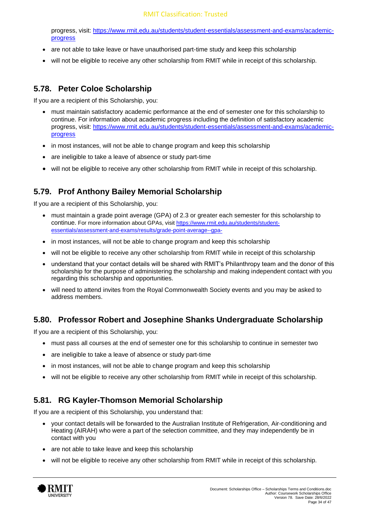progress, visit: [https://www.rmit.edu.au/students/student-essentials/assessment-and-exams/academic](https://www.rmit.edu.au/students/student-essentials/assessment-and-exams/academic-progress)[progress](https://www.rmit.edu.au/students/student-essentials/assessment-and-exams/academic-progress)

- are not able to take leave or have unauthorised part-time study and keep this scholarship
- will not be eligible to receive any other scholarship from RMIT while in receipt of this scholarship.

#### **5.78. Peter Coloe Scholarship**

If you are a recipient of this Scholarship, you:

- must maintain satisfactory academic performance at the end of semester one for this scholarship to continue. For information about academic progress including the definition of satisfactory academic progress, visit: [https://www.rmit.edu.au/students/student-essentials/assessment-and-exams/academic](https://www.rmit.edu.au/students/student-essentials/assessment-and-exams/academic-progress)[progress](https://www.rmit.edu.au/students/student-essentials/assessment-and-exams/academic-progress)
- in most instances, will not be able to change program and keep this scholarship
- are ineligible to take a leave of absence or study part-time
- will not be eligible to receive any other scholarship from RMIT while in receipt of this scholarship.

#### **5.79. Prof Anthony Bailey Memorial Scholarship**

If you are a recipient of this Scholarship, you:

- must maintain a grade point average (GPA) of 2.3 or greater each semester for this scholarship to continue. For more information about GPAs, visit [https://www.rmit.edu.au/students/student](https://www.rmit.edu.au/students/student-essentials/assessment-and-exams/results/grade-point-average--gpa-)[essentials/assessment-and-exams/results/grade-point-average--gpa-](https://www.rmit.edu.au/students/student-essentials/assessment-and-exams/results/grade-point-average--gpa-)
- in most instances, will not be able to change program and keep this scholarship
- will not be eligible to receive any other scholarship from RMIT while in receipt of this scholarship
- understand that your contact details will be shared with RMIT's Philanthropy team and the donor of this scholarship for the purpose of administering the scholarship and making independent contact with you regarding this scholarship and opportunities.
- will need to attend invites from the Royal Commonwealth Society events and you may be asked to address members.

## **5.80. Professor Robert and Josephine Shanks Undergraduate Scholarship**

If you are a recipient of this Scholarship, you:

- must pass all courses at the end of semester one for this scholarship to continue in semester two
- are ineligible to take a leave of absence or study part-time
- in most instances, will not be able to change program and keep this scholarship
- will not be eligible to receive any other scholarship from RMIT while in receipt of this scholarship.

## **5.81. RG Kayler-Thomson Memorial Scholarship**

If you are a recipient of this Scholarship, you understand that:

- your contact details will be forwarded to the Australian Institute of Refrigeration, Air-conditioning and Heating (AIRAH) who were a part of the selection committee, and they may independently be in contact with you
- are not able to take leave and keep this scholarship
- will not be eligible to receive any other scholarship from RMIT while in receipt of this scholarship.

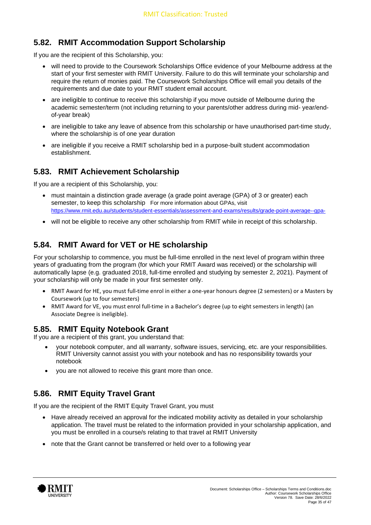#### **5.82. RMIT Accommodation Support Scholarship**

If you are the recipient of this Scholarship, you:

- will need to provide to the Coursework Scholarships Office evidence of your Melbourne address at the start of your first semester with RMIT University. Failure to do this will terminate your scholarship and require the return of monies paid. The Coursework Scholarships Office will email you details of the requirements and due date to your RMIT student email account.
- are ineligible to continue to receive this scholarship if you move outside of Melbourne during the academic semester/term (not including returning to your parents/other address during mid- year/endof-year break)
- are ineligible to take any leave of absence from this scholarship or have unauthorised part-time study, where the scholarship is of one year duration
- are ineligible if you receive a RMIT scholarship bed in a purpose-built student accommodation establishment.

## **5.83. RMIT Achievement Scholarship**

If you are a recipient of this Scholarship, you:

- must maintain a distinction grade average (a grade point average (GPA) of 3 or greater) each semester, to keep this scholarship For more information about GPAs, visit <https://www.rmit.edu.au/students/student-essentials/assessment-and-exams/results/grade-point-average--gpa->
- will not be eligible to receive any other scholarship from RMIT while in receipt of this scholarship.

## **5.84. RMIT Award for VET or HE scholarship**

For your scholarship to commence, you must be full-time enrolled in the next level of program within three years of graduating from the program (for which your RMIT Award was received) or the scholarship will automatically lapse (e.g. graduated 2018, full-time enrolled and studying by semester 2, 2021). Payment of your scholarship will only be made in your first semester only.

- RMIT Award for HE, you must full-time enrol in either a one-year honours degree (2 semesters) or a Masters by Coursework (up to four semesters)
- RMIT Award for VE, you must enrol full-time in a Bachelor's degree (up to eight semesters in length) (an Associate Degree is ineligible).

#### **5.85. RMIT Equity Notebook Grant**

If you are a recipient of this grant, you understand that:

- your notebook computer, and all warranty, software issues, servicing, etc. are your responsibilities. RMIT University cannot assist you with your notebook and has no responsibility towards your notebook
- you are not allowed to receive this grant more than once.

## **5.86. RMIT Equity Travel Grant**

If you are the recipient of the RMIT Equity Travel Grant, you must

- Have already received an approval for the indicated mobility activity as detailed in your scholarship application. The travel must be related to the information provided in your scholarship application, and you must be enrolled in a course/s relating to that travel at RMIT University
- note that the Grant cannot be transferred or held over to a following year

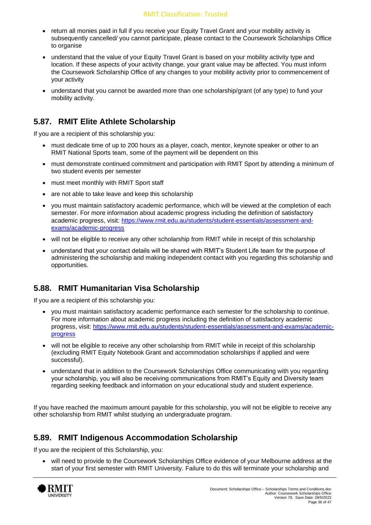- return all monies paid in full if you receive your Equity Travel Grant and your mobility activity is subsequently cancelled/ you cannot participate, please contact to the Coursework Scholarships Office to organise
- understand that the value of your Equity Travel Grant is based on your mobility activity type and location. If these aspects of your activity change, your grant value may be affected. You must inform the Coursework Scholarship Office of any changes to your mobility activity prior to commencement of your activity
- understand that you cannot be awarded more than one scholarship/grant (of any type) to fund your mobility activity.

#### **5.87. RMIT Elite Athlete Scholarship**

If you are a recipient of this scholarship you:

- must dedicate time of up to 200 hours as a player, coach, mentor, keynote speaker or other to an RMIT National Sports team, some of the payment will be dependent on this
- must demonstrate continued commitment and participation with RMIT Sport by attending a minimum of two student events per semester
- must meet monthly with RMIT Sport staff
- are not able to take leave and keep this scholarship
- you must maintain satisfactory academic performance, which will be viewed at the completion of each semester. For more information about academic progress including the definition of satisfactory academic progress, visit: [https://www.rmit.edu.au/students/student-essentials/assessment-and](https://www.rmit.edu.au/students/student-essentials/assessment-and-exams/academic-progress)[exams/academic-progress](https://www.rmit.edu.au/students/student-essentials/assessment-and-exams/academic-progress)
- will not be eligible to receive any other scholarship from RMIT while in receipt of this scholarship
- understand that your contact details will be shared with RMIT's Student Life team for the purpose of administering the scholarship and making independent contact with you regarding this scholarship and opportunities.

## **5.88. RMIT Humanitarian Visa Scholarship**

If you are a recipient of this scholarship you:

- you must maintain satisfactory academic performance each semester for the scholarship to continue. For more information about academic progress including the definition of satisfactory academic progress, visit: [https://www.rmit.edu.au/students/student-essentials/assessment-and-exams/academic](https://www.rmit.edu.au/students/student-essentials/assessment-and-exams/academic-progress)[progress](https://www.rmit.edu.au/students/student-essentials/assessment-and-exams/academic-progress)
- will not be eligible to receive any other scholarship from RMIT while in receipt of this scholarship (excluding RMIT Equity Notebook Grant and accommodation scholarships if applied and were successful).
- understand that in addition to the Coursework Scholarships Office communicating with you regarding your scholarship, you will also be receiving communications from RMIT's Equity and Diversity team regarding seeking feedback and information on your educational study and student experience.

If you have reached the maximum amount payable for this scholarship, you will not be eligible to receive any other scholarship from RMIT whilst studying an undergraduate program.

## **5.89. RMIT Indigenous Accommodation Scholarship**

If you are the recipient of this Scholarship, you:

• will need to provide to the Coursework Scholarships Office evidence of your Melbourne address at the start of your first semester with RMIT University. Failure to do this will terminate your scholarship and

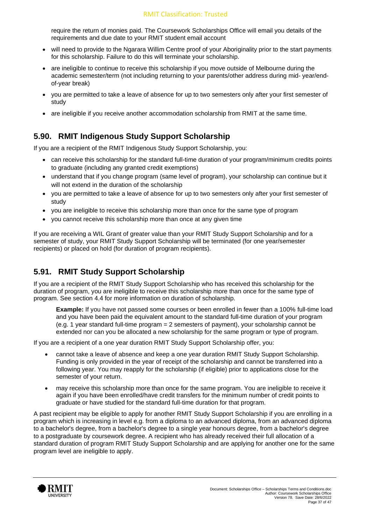require the return of monies paid. The Coursework Scholarships Office will email you details of the requirements and due date to your RMIT student email account

- will need to provide to the Ngarara Willim Centre proof of your Aboriginality prior to the start payments for this scholarship. Failure to do this will terminate your scholarship.
- are ineligible to continue to receive this scholarship if you move outside of Melbourne during the academic semester/term (not including returning to your parents/other address during mid- year/endof-year break)
- you are permitted to take a leave of absence for up to two semesters only after your first semester of study
- are ineligible if you receive another accommodation scholarship from RMIT at the same time.

## **5.90. RMIT Indigenous Study Support Scholarship**

If you are a recipient of the RMIT Indigenous Study Support Scholarship, you:

- can receive this scholarship for the standard full-time duration of your program/minimum credits points to graduate (including any granted credit exemptions)
- understand that if you change program (same level of program), your scholarship can continue but it will not extend in the duration of the scholarship
- you are permitted to take a leave of absence for up to two semesters only after your first semester of study
- you are ineligible to receive this scholarship more than once for the same type of program
- you cannot receive this scholarship more than once at any given time

If you are receiving a WIL Grant of greater value than your RMIT Study Support Scholarship and for a semester of study, your RMIT Study Support Scholarship will be terminated (for one year/semester recipients) or placed on hold (for duration of program recipients).

#### **5.91. RMIT Study Support Scholarship**

If you are a recipient of the RMIT Study Support Scholarship who has received this scholarship for the duration of program, you are ineligible to receive this scholarship more than once for the same type of program. See section 4.4 for more information on duration of scholarship.

**Example:** If you have not passed some courses or been enrolled in fewer than a 100% full-time load and you have been paid the equivalent amount to the standard full-time duration of your program (e.g. 1 year standard full-time program = 2 semesters of payment), your scholarship cannot be extended nor can you be allocated a new scholarship for the same program or type of program.

If you are a recipient of a one year duration RMIT Study Support Scholarship offer, you:

- cannot take a leave of absence and keep a one year duration RMIT Study Support Scholarship. Funding is only provided in the year of receipt of the scholarship and cannot be transferred into a following year. You may reapply for the scholarship (if eligible) prior to applications close for the semester of your return.
- may receive this scholarship more than once for the same program. You are ineligible to receive it again if you have been enrolled/have credit transfers for the minimum number of credit points to graduate or have studied for the standard full-time duration for that program.

A past recipient may be eligible to apply for another RMIT Study Support Scholarship if you are enrolling in a program which is increasing in level e.g. from a diploma to an advanced diploma, from an advanced diploma to a bachelor's degree, from a bachelor's degree to a single year honours degree, from a bachelor's degree to a postgraduate by coursework degree. A recipient who has already received their full allocation of a standard duration of program RMIT Study Support Scholarship and are applying for another one for the same program level are ineligible to apply.

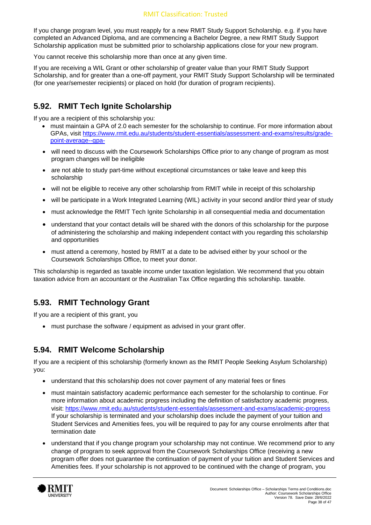#### RMIT Classification: Trusted

If you change program level, you must reapply for a new RMIT Study Support Scholarship. e.g. if you have completed an Advanced Diploma, and are commencing a Bachelor Degree, a new RMIT Study Support Scholarship application must be submitted prior to scholarship applications close for your new program.

You cannot receive this scholarship more than once at any given time.

If you are receiving a WIL Grant or other scholarship of greater value than your RMIT Study Support Scholarship, and for greater than a one-off payment, your RMIT Study Support Scholarship will be terminated (for one year/semester recipients) or placed on hold (for duration of program recipients).

#### **5.92. RMIT Tech Ignite Scholarship**

If you are a recipient of this scholarship you:

- must maintain a GPA of 2.0 each semester for the scholarship to continue. For more information about GPAs, visit [https://www.rmit.edu.au/students/student-essentials/assessment-and-exams/results/grade](https://www.rmit.edu.au/students/student-essentials/assessment-and-exams/results/grade-point-average--gpa-)[point-average--gpa-](https://www.rmit.edu.au/students/student-essentials/assessment-and-exams/results/grade-point-average--gpa-)
- will need to discuss with the Coursework Scholarships Office prior to any change of program as most program changes will be ineligible
- are not able to study part-time without exceptional circumstances or take leave and keep this scholarship
- will not be eligible to receive any other scholarship from RMIT while in receipt of this scholarship
- will be participate in a Work Integrated Learning (WIL) activity in your second and/or third year of study
- must acknowledge the RMIT Tech Ignite Scholarship in all consequential media and documentation
- understand that your contact details will be shared with the donors of this scholarship for the purpose of administering the scholarship and making independent contact with you regarding this scholarship and opportunities
- must attend a ceremony, hosted by RMIT at a date to be advised either by your school or the Coursework Scholarships Office, to meet your donor.

This scholarship is regarded as taxable income under taxation legislation. We recommend that you obtain taxation advice from an accountant or the Australian Tax Office regarding this scholarship. taxable.

#### **5.93. RMIT Technology Grant**

If you are a recipient of this grant, you

• must purchase the software / equipment as advised in your grant offer.

#### **5.94. RMIT Welcome Scholarship**

If you are a recipient of this scholarship (formerly known as the RMIT People Seeking Asylum Scholarship) you:

- understand that this scholarship does not cover payment of any material fees or fines
- must maintain satisfactory academic performance each semester for the scholarship to continue. For more information about academic progress including the definition of satisfactory academic progress, visit:<https://www.rmit.edu.au/students/student-essentials/assessment-and-exams/academic-progress> If your scholarship is terminated and your scholarship does include the payment of your tuition and Student Services and Amenities fees, you will be required to pay for any course enrolments after that termination date
- understand that if you change program your scholarship may not continue. We recommend prior to any change of program to seek approval from the Coursework Scholarships Office (receiving a new program offer does not guarantee the continuation of payment of your tuition and Student Services and Amenities fees. If your scholarship is not approved to be continued with the change of program, you

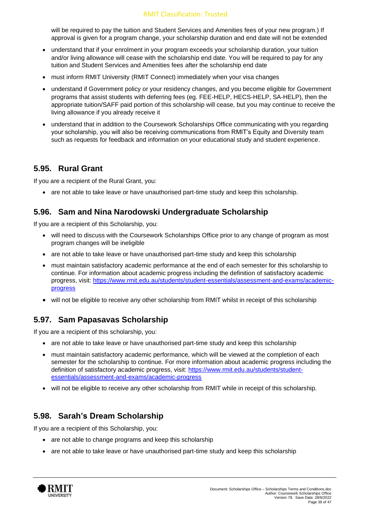will be required to pay the tuition and Student Services and Amenities fees of your new program.) If approval is given for a program change, your scholarship duration and end date will not be extended

- understand that if your enrolment in your program exceeds your scholarship duration, your tuition and/or living allowance will cease with the scholarship end date. You will be required to pay for any tuition and Student Services and Amenities fees after the scholarship end date
- must inform RMIT University (RMIT Connect) immediately when your visa changes
- understand if Government policy or your residency changes, and you become eligible for Government programs that assist students with deferring fees (eg. FEE-HELP, HECS-HELP, SA-HELP), then the appropriate tuition/SAFF paid portion of this scholarship will cease, but you may continue to receive the living allowance if you already receive it
- understand that in addition to the Coursework Scholarships Office communicating with you regarding your scholarship, you will also be receiving communications from RMIT's Equity and Diversity team such as requests for feedback and information on your educational study and student experience.

#### **5.95. Rural Grant**

If you are a recipient of the Rural Grant, you:

• are not able to take leave or have unauthorised part-time study and keep this scholarship.

#### **5.96. Sam and Nina Narodowski Undergraduate Scholarship**

If you are a recipient of this Scholarship, you:

- will need to discuss with the Coursework Scholarships Office prior to any change of program as most program changes will be ineligible
- are not able to take leave or have unauthorised part-time study and keep this scholarship
- must maintain satisfactory academic performance at the end of each semester for this scholarship to continue. For information about academic progress including the definition of satisfactory academic progress, visit: [https://www.rmit.edu.au/students/student-essentials/assessment-and-exams/academic](https://www.rmit.edu.au/students/student-essentials/assessment-and-exams/academic-progress)[progress](https://www.rmit.edu.au/students/student-essentials/assessment-and-exams/academic-progress)
- will not be eligible to receive any other scholarship from RMIT whilst in receipt of this scholarship

## **5.97. Sam Papasavas Scholarship**

If you are a recipient of this scholarship, you:

- are not able to take leave or have unauthorised part-time study and keep this scholarship
- must maintain satisfactory academic performance, which will be viewed at the completion of each semester for the scholarship to continue. For more information about academic progress including the definition of satisfactory academic progress, visit: [https://www.rmit.edu.au/students/student](https://www.rmit.edu.au/students/student-essentials/assessment-and-exams/academic-progress)[essentials/assessment-and-exams/academic-progress](https://www.rmit.edu.au/students/student-essentials/assessment-and-exams/academic-progress)
- will not be eligible to receive any other scholarship from RMIT while in receipt of this scholarship.

#### **5.98. Sarah's Dream Scholarship**

If you are a recipient of this Scholarship, you:

- are not able to change programs and keep this scholarship
- are not able to take leave or have unauthorised part-time study and keep this scholarship

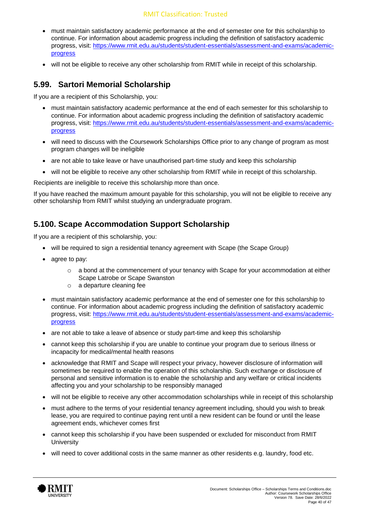#### RMIT Classification: Trusted

- must maintain satisfactory academic performance at the end of semester one for this scholarship to continue. For information about academic progress including the definition of satisfactory academic progress, visit: [https://www.rmit.edu.au/students/student-essentials/assessment-and-exams/academic](https://www.rmit.edu.au/students/student-essentials/assessment-and-exams/academic-progress)[progress](https://www.rmit.edu.au/students/student-essentials/assessment-and-exams/academic-progress)
- will not be eligible to receive any other scholarship from RMIT while in receipt of this scholarship.

#### **5.99. Sartori Memorial Scholarship**

If you are a recipient of this Scholarship, you:

- must maintain satisfactory academic performance at the end of each semester for this scholarship to continue. For information about academic progress including the definition of satisfactory academic progress, visit: [https://www.rmit.edu.au/students/student-essentials/assessment-and-exams/academic](https://www.rmit.edu.au/students/student-essentials/assessment-and-exams/academic-progress)[progress](https://www.rmit.edu.au/students/student-essentials/assessment-and-exams/academic-progress)
- will need to discuss with the Coursework Scholarships Office prior to any change of program as most program changes will be ineligible
- are not able to take leave or have unauthorised part-time study and keep this scholarship
- will not be eligible to receive any other scholarship from RMIT while in receipt of this scholarship.

Recipients are ineligible to receive this scholarship more than once.

If you have reached the maximum amount payable for this scholarship, you will not be eligible to receive any other scholarship from RMIT whilst studying an undergraduate program.

#### **5.100. Scape Accommodation Support Scholarship**

If you are a recipient of this scholarship, you:

- will be required to sign a residential tenancy agreement with Scape (the Scape Group)
- agree to pay:
	- $\circ$  a bond at the commencement of your tenancy with Scape for your accommodation at either Scape Latrobe or Scape Swanston
	- o a departure cleaning fee
- must maintain satisfactory academic performance at the end of semester one for this scholarship to continue. For information about academic progress including the definition of satisfactory academic progress, visit: [https://www.rmit.edu.au/students/student-essentials/assessment-and-exams/academic](https://www.rmit.edu.au/students/student-essentials/assessment-and-exams/academic-progress)[progress](https://www.rmit.edu.au/students/student-essentials/assessment-and-exams/academic-progress)
- are not able to take a leave of absence or study part-time and keep this scholarship
- cannot keep this scholarship if you are unable to continue your program due to serious illness or incapacity for medical/mental health reasons
- acknowledge that RMIT and Scape will respect your privacy, however disclosure of information will sometimes be required to enable the operation of this scholarship. Such exchange or disclosure of personal and sensitive information is to enable the scholarship and any welfare or critical incidents affecting you and your scholarship to be responsibly managed
- will not be eligible to receive any other accommodation scholarships while in receipt of this scholarship
- must adhere to the terms of your residential tenancy agreement including, should you wish to break lease, you are required to continue paying rent until a new resident can be found or until the lease agreement ends, whichever comes first
- cannot keep this scholarship if you have been suspended or excluded for misconduct from RMIT **University**
- will need to cover additional costs in the same manner as other residents e.g. laundry, food etc.

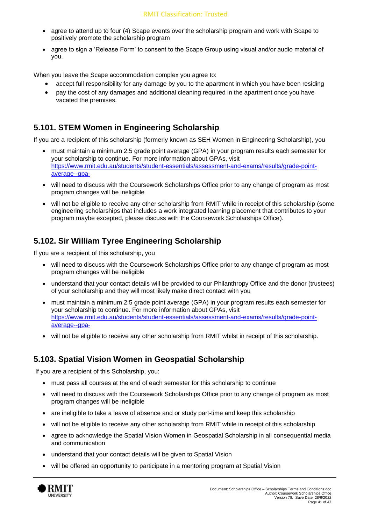- agree to attend up to four (4) Scape events over the scholarship program and work with Scape to positively promote the scholarship program
- agree to sign a 'Release Form' to consent to the Scape Group using visual and/or audio material of you.

When you leave the Scape accommodation complex you agree to:

- accept full responsibility for any damage by you to the apartment in which you have been residing
- pay the cost of any damages and additional cleaning required in the apartment once you have vacated the premises.

#### **5.101. STEM Women in Engineering Scholarship**

If you are a recipient of this scholarship (formerly known as SEH Women in Engineering Scholarship), you

- must maintain a minimum 2.5 grade point average (GPA) in your program results each semester for your scholarship to continue. For more information about GPAs, visit [https://www.rmit.edu.au/students/student-essentials/assessment-and-exams/results/grade-point](https://www.rmit.edu.au/students/student-essentials/assessment-and-exams/results/grade-point-average--gpa-)[average--gpa-](https://www.rmit.edu.au/students/student-essentials/assessment-and-exams/results/grade-point-average--gpa-)
- will need to discuss with the Coursework Scholarships Office prior to any change of program as most program changes will be ineligible
- will not be eligible to receive any other scholarship from RMIT while in receipt of this scholarship (some engineering scholarships that includes a work integrated learning placement that contributes to your program maybe excepted, please discuss with the Coursework Scholarships Office).

## **5.102. Sir William Tyree Engineering Scholarship**

If you are a recipient of this scholarship, you

- will need to discuss with the Coursework Scholarships Office prior to any change of program as most program changes will be ineligible
- understand that your contact details will be provided to our Philanthropy Office and the donor (trustees) of your scholarship and they will most likely make direct contact with you
- must maintain a minimum 2.5 grade point average (GPA) in your program results each semester for your scholarship to continue. For more information about GPAs, visit [https://www.rmit.edu.au/students/student-essentials/assessment-and-exams/results/grade-point](https://www.rmit.edu.au/students/student-essentials/assessment-and-exams/results/grade-point-average--gpa-)[average--gpa-](https://www.rmit.edu.au/students/student-essentials/assessment-and-exams/results/grade-point-average--gpa-)
- will not be eligible to receive any other scholarship from RMIT whilst in receipt of this scholarship.

#### **5.103. Spatial Vision Women in Geospatial Scholarship**

If you are a recipient of this Scholarship, you:

- must pass all courses at the end of each semester for this scholarship to continue
- will need to discuss with the Coursework Scholarships Office prior to any change of program as most program changes will be ineligible
- are ineligible to take a leave of absence and or study part-time and keep this scholarship
- will not be eligible to receive any other scholarship from RMIT while in receipt of this scholarship
- agree to acknowledge the Spatial Vision Women in Geospatial Scholarship in all consequential media and communication
- understand that your contact details will be given to Spatial Vision
- will be offered an opportunity to participate in a mentoring program at Spatial Vision

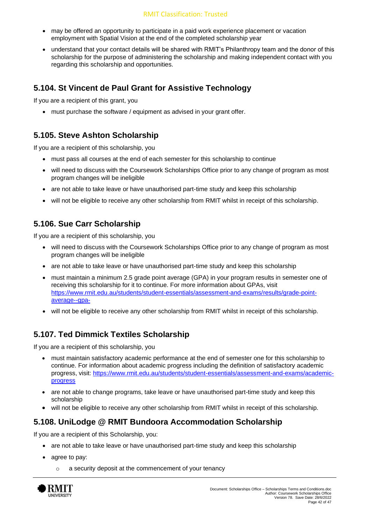- may be offered an opportunity to participate in a paid work experience placement or vacation employment with Spatial Vision at the end of the completed scholarship year
- understand that your contact details will be shared with RMIT's Philanthropy team and the donor of this scholarship for the purpose of administering the scholarship and making independent contact with you regarding this scholarship and opportunities.

#### **5.104. St Vincent de Paul Grant for Assistive Technology**

If you are a recipient of this grant, you

• must purchase the software / equipment as advised in your grant offer.

#### **5.105. Steve Ashton Scholarship**

If you are a recipient of this scholarship, you

- must pass all courses at the end of each semester for this scholarship to continue
- will need to discuss with the Coursework Scholarships Office prior to any change of program as most program changes will be ineligible
- are not able to take leave or have unauthorised part-time study and keep this scholarship
- will not be eligible to receive any other scholarship from RMIT whilst in receipt of this scholarship.

#### **5.106. Sue Carr Scholarship**

If you are a recipient of this scholarship, you

- will need to discuss with the Coursework Scholarships Office prior to any change of program as most program changes will be ineligible
- are not able to take leave or have unauthorised part-time study and keep this scholarship
- must maintain a minimum 2.5 grade point average (GPA) in your program results in semester one of receiving this scholarship for it to continue. For more information about GPAs, visit [https://www.rmit.edu.au/students/student-essentials/assessment-and-exams/results/grade-point](https://www.rmit.edu.au/students/student-essentials/assessment-and-exams/results/grade-point-average--gpa-)[average--gpa-](https://www.rmit.edu.au/students/student-essentials/assessment-and-exams/results/grade-point-average--gpa-)
- will not be eligible to receive any other scholarship from RMIT whilst in receipt of this scholarship.

#### **5.107. Ted Dimmick Textiles Scholarship**

If you are a recipient of this scholarship, you

- must maintain satisfactory academic performance at the end of semester one for this scholarship to continue. For information about academic progress including the definition of satisfactory academic progress, visit: [https://www.rmit.edu.au/students/student-essentials/assessment-and-exams/academic](https://www.rmit.edu.au/students/student-essentials/assessment-and-exams/academic-progress)[progress](https://www.rmit.edu.au/students/student-essentials/assessment-and-exams/academic-progress)
- are not able to change programs, take leave or have unauthorised part-time study and keep this scholarship
- will not be eligible to receive any other scholarship from RMIT whilst in receipt of this scholarship.

## **5.108. UniLodge @ RMIT Bundoora Accommodation Scholarship**

If you are a recipient of this Scholarship, you:

- are not able to take leave or have unauthorised part-time study and keep this scholarship
- agree to pay:
	- o a security deposit at the commencement of your tenancy

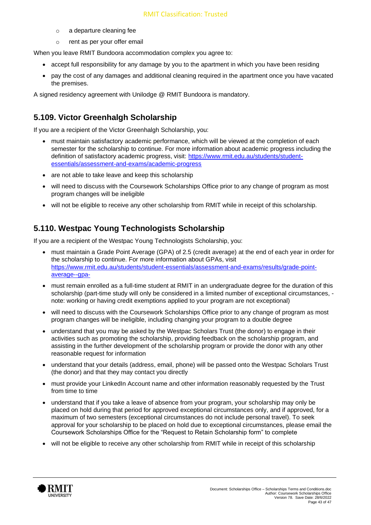- o a departure cleaning fee
- o rent as per your offer email

When you leave RMIT Bundoora accommodation complex you agree to:

- accept full responsibility for any damage by you to the apartment in which you have been residing
- pay the cost of any damages and additional cleaning required in the apartment once you have vacated the premises.

A signed residency agreement with Unilodge @ RMIT Bundoora is mandatory.

#### **5.109. Victor Greenhalgh Scholarship**

If you are a recipient of the Victor Greenhalgh Scholarship, you:

- must maintain satisfactory academic performance, which will be viewed at the completion of each semester for the scholarship to continue. For more information about academic progress including the definition of satisfactory academic progress, visit: [https://www.rmit.edu.au/students/student](https://www.rmit.edu.au/students/student-essentials/assessment-and-exams/academic-progress)[essentials/assessment-and-exams/academic-progress](https://www.rmit.edu.au/students/student-essentials/assessment-and-exams/academic-progress)
- are not able to take leave and keep this scholarship
- will need to discuss with the Coursework Scholarships Office prior to any change of program as most program changes will be ineligible
- will not be eligible to receive any other scholarship from RMIT while in receipt of this scholarship.

#### **5.110. Westpac Young Technologists Scholarship**

If you are a recipient of the Westpac Young Technologists Scholarship, you:

- must maintain a Grade Point Average (GPA) of 2.5 (credit average) at the end of each year in order for the scholarship to continue. For more information about GPAs, visit [https://www.rmit.edu.au/students/student-essentials/assessment-and-exams/results/grade-point](https://www.rmit.edu.au/students/student-essentials/assessment-and-exams/results/grade-point-average--gpa-)[average--gpa-](https://www.rmit.edu.au/students/student-essentials/assessment-and-exams/results/grade-point-average--gpa-)
- must remain enrolled as a full-time student at RMIT in an undergraduate degree for the duration of this scholarship (part-time study will only be considered in a limited number of exceptional circumstances, note: working or having credit exemptions applied to your program are not exceptional)
- will need to discuss with the Coursework Scholarships Office prior to any change of program as most program changes will be ineligible, including changing your program to a double degree
- understand that you may be asked by the Westpac Scholars Trust (the donor) to engage in their activities such as promoting the scholarship, providing feedback on the scholarship program, and assisting in the further development of the scholarship program or provide the donor with any other reasonable request for information
- understand that your details (address, email, phone) will be passed onto the Westpac Scholars Trust (the donor) and that they may contact you directly
- must provide your LinkedIn Account name and other information reasonably requested by the Trust from time to time
- understand that if you take a leave of absence from your program, your scholarship may only be placed on hold during that period for approved exceptional circumstances only, and if approved, for a maximum of two semesters (exceptional circumstances do not include personal travel). To seek approval for your scholarship to be placed on hold due to exceptional circumstances, please email the Coursework Scholarships Office for the "Request to Retain Scholarship form" to complete
- will not be eligible to receive any other scholarship from RMIT while in receipt of this scholarship

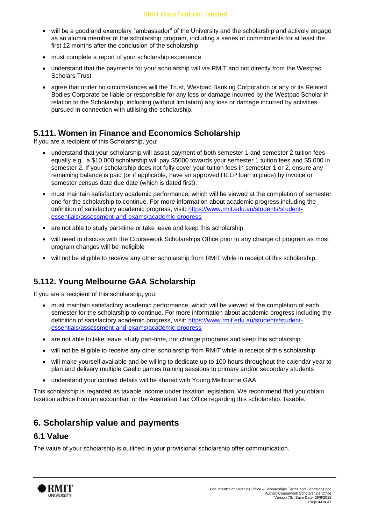- will be a good and exemplary "ambassador" of the University and the scholarship and actively engage as an alumni member of the scholarship program, including a series of commitments for at least the first 12 months after the conclusion of the scholarship
- must complete a report of your scholarship experience
- understand that the payments for your scholarship will via RMIT and not directly from the Westpac Scholars Trust
- agree that under no circumstances will the Trust, Westpac Banking Corporation or any of its Related Bodies Corporate be liable or responsible for any loss or damage incurred by the Westpac Scholar in relation to the Scholarship, including (without limitation) any loss or damage incurred by activities pursued in connection with utilising the scholarship.

#### **5.111. Women in Finance and Economics Scholarship**

If you are a recipient of this Scholarship, you:

- understand that your scholarship will assist payment of both semester 1 and semester 2 tuition fees equally e.g., a \$10,000 scholarship will pay \$5000 towards your semester 1 tuition fees and \$5,000 in semester 2. If your scholarship does not fully cover your tuition fees in semester 1 or 2, ensure any remaining balance is paid (or if applicable, have an approved HELP loan in place) by invoice or semester census date due date (which is dated first).
- must maintain satisfactory academic performance, which will be viewed at the completion of semester one for the scholarship to continue. For more information about academic progress including the definition of satisfactory academic progress, visit: [https://www.rmit.edu.au/students/student](https://www.rmit.edu.au/students/student-essentials/assessment-and-exams/academic-progress)[essentials/assessment-and-exams/academic-progress](https://www.rmit.edu.au/students/student-essentials/assessment-and-exams/academic-progress)
- are not able to study part-time or take leave and keep this scholarship
- will need to discuss with the Coursework Scholarships Office prior to any change of program as most program changes will be ineligible
- will not be eligible to receive any other scholarship from RMIT while in receipt of this scholarship.

## **5.112. Young Melbourne GAA Scholarship**

If you are a recipient of this scholarship, you:

- must maintain satisfactory academic performance, which will be viewed at the completion of each semester for the scholarship to continue. For more information about academic progress including the definition of satisfactory academic progress, visit: [https://www.rmit.edu.au/students/student](https://www.rmit.edu.au/students/student-essentials/assessment-and-exams/academic-progress)[essentials/assessment-and-exams/academic-progress](https://www.rmit.edu.au/students/student-essentials/assessment-and-exams/academic-progress)
- are not able to take leave, study part-time, nor change programs and keep this scholarship
- will not be eligible to receive any other scholarship from RMIT while in receipt of this scholarship
- will make yourself available and be willing to dedicate up to 100 hours throughout the calendar year to plan and delivery multiple Gaelic games training sessions to primary and/or secondary students
- understand your contact details will be shared with Young Melbourne GAA.

This scholarship is regarded as taxable income under taxation legislation. We recommend that you obtain taxation advice from an accountant or the Australian Tax Office regarding this scholarship. taxable.

## <span id="page-43-0"></span>**6. Scholarship value and payments**

#### **6.1 Value**

The value of your scholarship is outlined in your provisional scholarship offer communication.

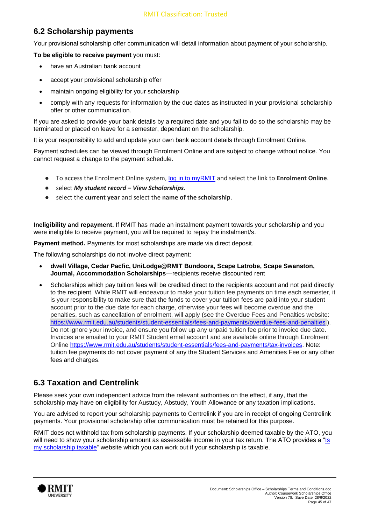# **6.2 Scholarship payments**

Your provisional scholarship offer communication will detail information about payment of your scholarship.

**To be eligible to receive payment** you must:

- have an Australian bank account
- accept your provisional scholarship offer
- maintain ongoing eligibility for your scholarship
- comply with any requests for information by the due dates as instructed in your provisional scholarship offer or other communication.

If you are asked to provide your bank details by a required date and you fail to do so the scholarship may be terminated or placed on leave for a semester, dependant on the scholarship.

It is your responsibility to add and update your own bank account details through Enrolment Online.

Payment schedules can be viewed through Enrolment Online and are subject to change without notice. You cannot request a change to the payment schedule.

- To access the Enrolment Online system, [log in to myRMIT](http://my.rmit.edu.au/) and select the link to **Enrolment Online**.
- select *My student record – View Scholarships.*
- select the **current year** and select the **name of the scholarship**.

**Ineligibility and repayment.** If RMIT has made an instalment payment towards your scholarship and you were ineligible to receive payment, you will be required to repay the instalment/s.

**Payment method.** Payments for most scholarships are made via direct deposit.

The following scholarships do not involve direct payment:

- **dwell Village, Cedar Pacfic, UniLodge@RMIT Bundoora, Scape Latrobe, Scape Swanston, Journal, Accommodation Scholarships**—recipients receive discounted rent
- Scholarships which pay tuition fees will be credited direct to the recipients account and not paid directly to the recipient. While RMIT will endeavour to make your tuition fee payments on time each semester, it is your responsibility to make sure that the funds to cover your tuition fees are paid into your student account prior to the due date for each charge, otherwise your fees will become overdue and the penalties, such as cancellation of enrolment, will apply (see the Overdue Fees and Penalties website: <https://www.rmit.edu.au/students/student-essentials/fees-and-payments/overdue-fees-and-penalties> ). Do not ignore your invoice, and ensure you follow up any unpaid tuition fee prior to invoice due date. Invoices are emailed to your RMIT Student email account and are available online through Enrolment Online [https://www.rmit.edu.au/students/student-essentials/fees-and-payments/tax-invoices.](https://www.rmit.edu.au/students/student-essentials/fees-and-payments/tax-invoices) Note: tuition fee payments do not cover payment of any the Student Services and Amenities Fee or any other fees and charges.

#### **6.3 Taxation and Centrelink**

Please seek your own independent advice from the relevant authorities on the effect, if any, that the scholarship may have on eligibility for Austudy, Abstudy, Youth Allowance or any taxation implications.

You are advised to report your scholarship payments to Centrelink if you are in receipt of ongoing Centrelink payments. Your provisional scholarship offer communication must be retained for this purpose.

RMIT does not withhold tax from scholarship payments. If your scholarship deemed taxable by the ATO, you will need to show your scholarship amount as assessable income in your tax return. The ATO provides a "Is [my scholarship taxable"](https://www.ato.gov.au/Calculators-and-tools/Is-my-scholarship-taxable/) website which you can work out if your scholarship is taxable.

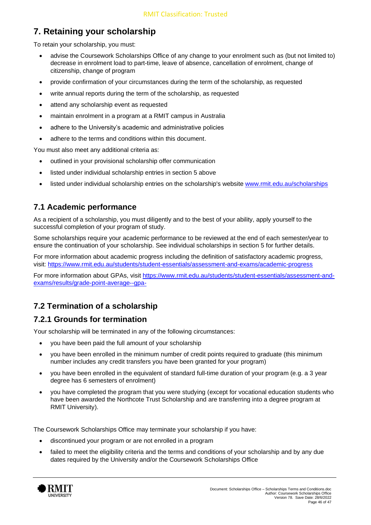# <span id="page-45-0"></span>**7. Retaining your scholarship**

To retain your scholarship, you must:

- advise the Coursework Scholarships Office of any change to your enrolment such as (but not limited to) decrease in enrolment load to part-time, leave of absence, cancellation of enrolment, change of citizenship, change of program
- provide confirmation of your circumstances during the term of the scholarship, as requested
- write annual reports during the term of the scholarship, as requested
- attend any scholarship event as requested
- maintain enrolment in a program at a RMIT campus in Australia
- adhere to the University's academic and administrative policies
- adhere to the terms and conditions within this document.

You must also meet any additional criteria as:

- outlined in your provisional scholarship offer communication
- listed under individual scholarship entries in section 5 above
- listed under individual scholarship entries on the scholarship's website [www.rmit.edu.au/scholarships](http://www.rmit.edu.au/scholarships)

#### **7.1 Academic performance**

As a recipient of a scholarship, you must diligently and to the best of your ability, apply yourself to the successful completion of your program of study.

Some scholarships require your academic performance to be reviewed at the end of each semester/year to ensure the continuation of your scholarship. See individual scholarships in section 5 for further details.

For more information about academic progress including the definition of satisfactory academic progress, visit: <https://www.rmit.edu.au/students/student-essentials/assessment-and-exams/academic-progress>

For more information about GPAs, visit [https://www.rmit.edu.au/students/student-essentials/assessment-and](https://www.rmit.edu.au/students/student-essentials/assessment-and-exams/results/grade-point-average--gpa-)[exams/results/grade-point-average--gpa-](https://www.rmit.edu.au/students/student-essentials/assessment-and-exams/results/grade-point-average--gpa-)

## **7.2 Termination of a scholarship**

#### **7.2.1 Grounds for termination**

Your scholarship will be terminated in any of the following circumstances:

- you have been paid the full amount of your scholarship
- you have been enrolled in the minimum number of credit points required to graduate (this minimum number includes any credit transfers you have been granted for your program)
- you have been enrolled in the equivalent of standard full-time duration of your program (e.g. a 3 year degree has 6 semesters of enrolment)
- you have completed the program that you were studying (except for vocational education students who have been awarded the Northcote Trust Scholarship and are transferring into a degree program at RMIT University).

The Coursework Scholarships Office may terminate your scholarship if you have:

- discontinued your program or are not enrolled in a program
- failed to meet the eligibility criteria and the terms and conditions of your scholarship and by any due dates required by the University and/or the Coursework Scholarships Office